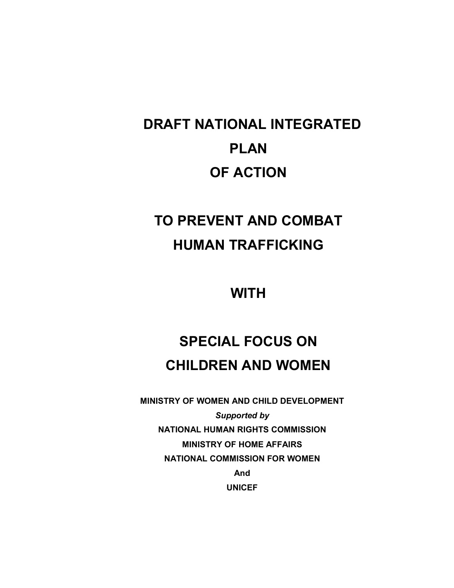# DRAFT NATIONAL INTEGRATED PLAN OF ACTION

## TO PREVENT AND COMBAT HUMAN TRAFFICKING

**WITH** 

## SPECIAL FOCUS ON CHILDREN AND WOMEN

MINISTRY OF WOMEN AND CHILD DEVELOPMENT Supported by NATIONAL HUMAN RIGHTS COMMISSION MINISTRY OF HOME AFFAIRS NATIONAL COMMISSION FOR WOMEN And UNICEF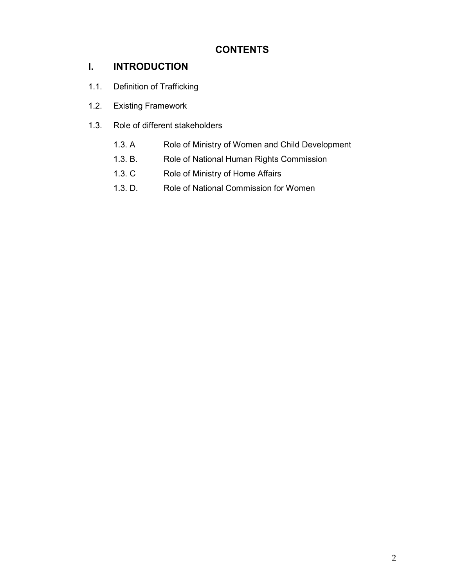## CONTENTS

## I. INTRODUCTION

- 1.1. Definition of Trafficking
- 1.2. Existing Framework
- 1.3. Role of different stakeholders
	- 1.3. A Role of Ministry of Women and Child Development
	- 1.3. B. Role of National Human Rights Commission
	- 1.3. C Role of Ministry of Home Affairs
	- 1.3. D. Role of National Commission for Women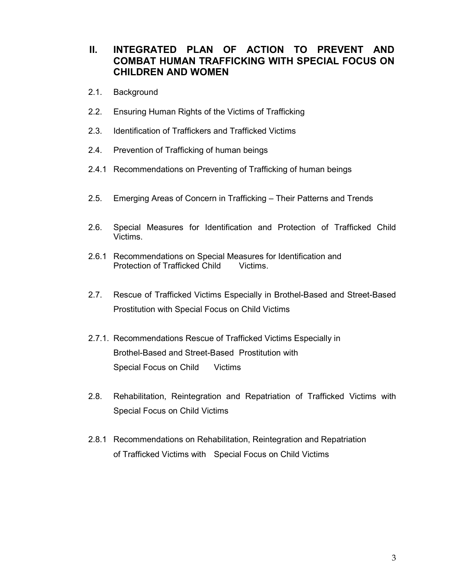## II. INTEGRATED PLAN OF ACTION TO PREVENT AND COMBAT HUMAN TRAFFICKING WITH SPECIAL FOCUS ON CHILDREN AND WOMEN

- 2.1. Background
- 2.2. Ensuring Human Rights of the Victims of Trafficking
- 2.3. Identification of Traffickers and Trafficked Victims
- 2.4. Prevention of Trafficking of human beings
- 2.4.1 Recommendations on Preventing of Trafficking of human beings
- 2.5. Emerging Areas of Concern in Trafficking Their Patterns and Trends
- 2.6. Special Measures for Identification and Protection of Trafficked Child Victims.
- 2.6.1 Recommendations on Special Measures for Identification and Protection of Trafficked Child Victims.
- 2.7. Rescue of Trafficked Victims Especially in Brothel-Based and Street-Based Prostitution with Special Focus on Child Victims
- 2.7.1. Recommendations Rescue of Trafficked Victims Especially in Brothel-Based and Street-Based Prostitution with Special Focus on Child Victims
- 2.8. Rehabilitation, Reintegration and Repatriation of Trafficked Victims with Special Focus on Child Victims
- 2.8.1 Recommendations on Rehabilitation, Reintegration and Repatriation of Trafficked Victims with Special Focus on Child Victims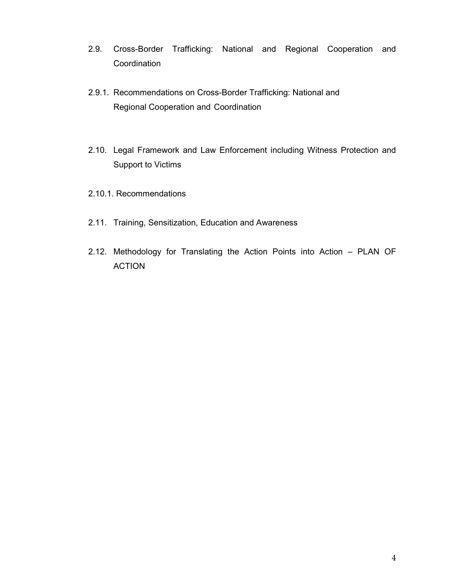- 2.9. Cross-Border Trafficking: National and Regional Cooperation and **Coordination**
- 2.9.1. Recommendations on Cross-Border Trafficking: National and Regional Cooperation and Coordination
- 2.10. Legal Framework and Law Enforcement including Witness Protection and Support to Victims
- 2.10.1. Recommendations
- 2.11. Training, Sensitization, Education and Awareness
- 2.12. Methodology for Translating the Action Points into Action PLAN OF ACTION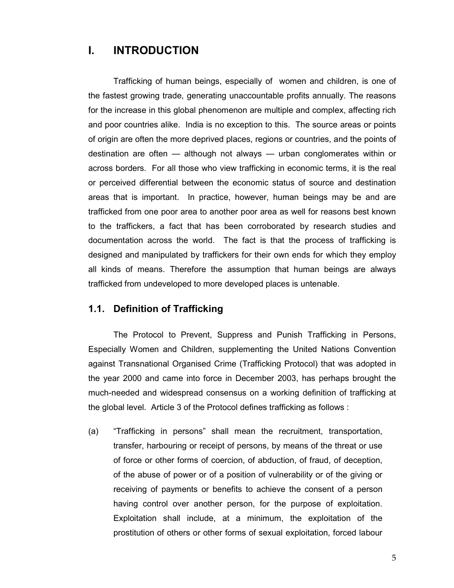## I. INTRODUCTION

 Trafficking of human beings, especially of women and children, is one of the fastest growing trade, generating unaccountable profits annually. The reasons for the increase in this global phenomenon are multiple and complex, affecting rich and poor countries alike. India is no exception to this. The source areas or points of origin are often the more deprived places, regions or countries, and the points of destination are often — although not always — urban conglomerates within or across borders. For all those who view trafficking in economic terms, it is the real or perceived differential between the economic status of source and destination areas that is important. In practice, however, human beings may be and are trafficked from one poor area to another poor area as well for reasons best known to the traffickers, a fact that has been corroborated by research studies and documentation across the world. The fact is that the process of trafficking is designed and manipulated by traffickers for their own ends for which they employ all kinds of means. Therefore the assumption that human beings are always trafficked from undeveloped to more developed places is untenable.

#### 1.1. Definition of Trafficking

 The Protocol to Prevent, Suppress and Punish Trafficking in Persons, Especially Women and Children, supplementing the United Nations Convention against Transnational Organised Crime (Trafficking Protocol) that was adopted in the year 2000 and came into force in December 2003, has perhaps brought the much-needed and widespread consensus on a working definition of trafficking at the global level. Article 3 of the Protocol defines trafficking as follows :

(a) "Trafficking in persons" shall mean the recruitment, transportation, transfer, harbouring or receipt of persons, by means of the threat or use of force or other forms of coercion, of abduction, of fraud, of deception, of the abuse of power or of a position of vulnerability or of the giving or receiving of payments or benefits to achieve the consent of a person having control over another person, for the purpose of exploitation. Exploitation shall include, at a minimum, the exploitation of the prostitution of others or other forms of sexual exploitation, forced labour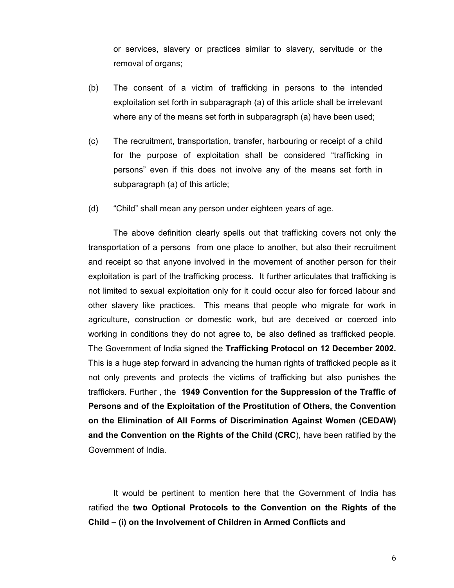or services, slavery or practices similar to slavery, servitude or the removal of organs;

- (b) The consent of a victim of trafficking in persons to the intended exploitation set forth in subparagraph (a) of this article shall be irrelevant where any of the means set forth in subparagraph (a) have been used;
- (c) The recruitment, transportation, transfer, harbouring or receipt of a child for the purpose of exploitation shall be considered "trafficking in persons" even if this does not involve any of the means set forth in subparagraph (a) of this article;
- (d) "Child" shall mean any person under eighteen years of age.

 The above definition clearly spells out that trafficking covers not only the transportation of a persons from one place to another, but also their recruitment and receipt so that anyone involved in the movement of another person for their exploitation is part of the trafficking process. It further articulates that trafficking is not limited to sexual exploitation only for it could occur also for forced labour and other slavery like practices. This means that people who migrate for work in agriculture, construction or domestic work, but are deceived or coerced into working in conditions they do not agree to, be also defined as trafficked people. The Government of India signed the Trafficking Protocol on 12 December 2002. This is a huge step forward in advancing the human rights of trafficked people as it not only prevents and protects the victims of trafficking but also punishes the traffickers. Further , the 1949 Convention for the Suppression of the Traffic of Persons and of the Exploitation of the Prostitution of Others, the Convention on the Elimination of All Forms of Discrimination Against Women (CEDAW) and the Convention on the Rights of the Child (CRC), have been ratified by the Government of India.

 It would be pertinent to mention here that the Government of India has ratified the two Optional Protocols to the Convention on the Rights of the Child – (i) on the Involvement of Children in Armed Conflicts and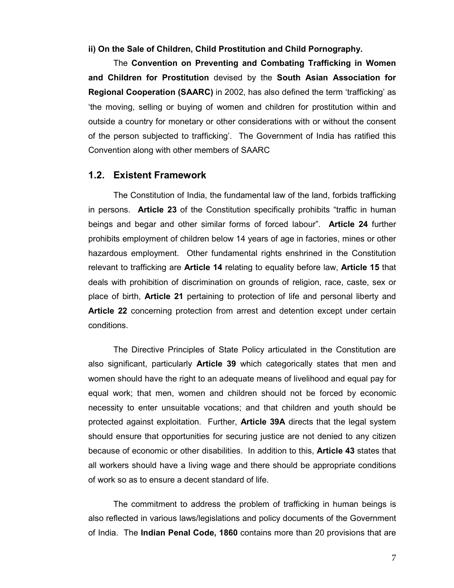ii) On the Sale of Children, Child Prostitution and Child Pornography.

 The Convention on Preventing and Combating Trafficking in Women and Children for Prostitution devised by the South Asian Association for Regional Cooperation (SAARC) in 2002, has also defined the term 'trafficking' as 'the moving, selling or buying of women and children for prostitution within and outside a country for monetary or other considerations with or without the consent of the person subjected to trafficking'. The Government of India has ratified this Convention along with other members of SAARC

#### 1.2. Existent Framework

 The Constitution of India, the fundamental law of the land, forbids trafficking in persons. Article 23 of the Constitution specifically prohibits "traffic in human beings and begar and other similar forms of forced labour". Article 24 further prohibits employment of children below 14 years of age in factories, mines or other hazardous employment. Other fundamental rights enshrined in the Constitution relevant to trafficking are Article 14 relating to equality before law, Article 15 that deals with prohibition of discrimination on grounds of religion, race, caste, sex or place of birth, Article 21 pertaining to protection of life and personal liberty and Article 22 concerning protection from arrest and detention except under certain conditions.

 The Directive Principles of State Policy articulated in the Constitution are also significant, particularly Article 39 which categorically states that men and women should have the right to an adequate means of livelihood and equal pay for equal work; that men, women and children should not be forced by economic necessity to enter unsuitable vocations; and that children and youth should be protected against exploitation. Further, Article 39A directs that the legal system should ensure that opportunities for securing justice are not denied to any citizen because of economic or other disabilities. In addition to this, Article 43 states that all workers should have a living wage and there should be appropriate conditions of work so as to ensure a decent standard of life.

 The commitment to address the problem of trafficking in human beings is also reflected in various laws/legislations and policy documents of the Government of India. The Indian Penal Code, 1860 contains more than 20 provisions that are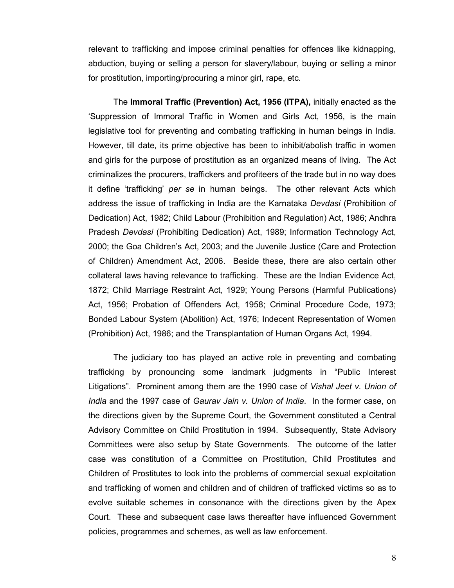relevant to trafficking and impose criminal penalties for offences like kidnapping, abduction, buying or selling a person for slavery/labour, buying or selling a minor for prostitution, importing/procuring a minor girl, rape, etc.

 The Immoral Traffic (Prevention) Act, 1956 (ITPA), initially enacted as the 'Suppression of Immoral Traffic in Women and Girls Act, 1956, is the main legislative tool for preventing and combating trafficking in human beings in India. However, till date, its prime objective has been to inhibit/abolish traffic in women and girls for the purpose of prostitution as an organized means of living. The Act criminalizes the procurers, traffickers and profiteers of the trade but in no way does it define 'trafficking' per se in human beings. The other relevant Acts which address the issue of trafficking in India are the Karnataka Devdasi (Prohibition of Dedication) Act, 1982; Child Labour (Prohibition and Regulation) Act, 1986; Andhra Pradesh Devdasi (Prohibiting Dedication) Act, 1989; Information Technology Act, 2000; the Goa Children's Act, 2003; and the Juvenile Justice (Care and Protection of Children) Amendment Act, 2006. Beside these, there are also certain other collateral laws having relevance to trafficking. These are the Indian Evidence Act, 1872; Child Marriage Restraint Act, 1929; Young Persons (Harmful Publications) Act, 1956; Probation of Offenders Act, 1958; Criminal Procedure Code, 1973; Bonded Labour System (Abolition) Act, 1976; Indecent Representation of Women (Prohibition) Act, 1986; and the Transplantation of Human Organs Act, 1994.

 The judiciary too has played an active role in preventing and combating trafficking by pronouncing some landmark judgments in "Public Interest Litigations". Prominent among them are the 1990 case of *Vishal Jeet v. Union of* India and the 1997 case of Gaurav Jain v. Union of India. In the former case, on the directions given by the Supreme Court, the Government constituted a Central Advisory Committee on Child Prostitution in 1994. Subsequently, State Advisory Committees were also setup by State Governments. The outcome of the latter case was constitution of a Committee on Prostitution, Child Prostitutes and Children of Prostitutes to look into the problems of commercial sexual exploitation and trafficking of women and children and of children of trafficked victims so as to evolve suitable schemes in consonance with the directions given by the Apex Court. These and subsequent case laws thereafter have influenced Government policies, programmes and schemes, as well as law enforcement.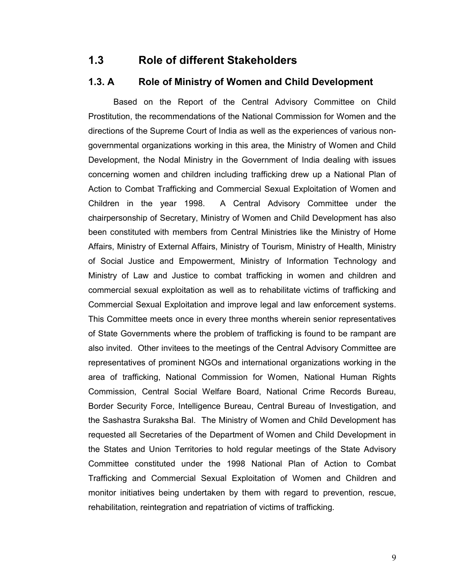## 1.3 Role of different Stakeholders

#### 1.3. A Role of Ministry of Women and Child Development

 Based on the Report of the Central Advisory Committee on Child Prostitution, the recommendations of the National Commission for Women and the directions of the Supreme Court of India as well as the experiences of various nongovernmental organizations working in this area, the Ministry of Women and Child Development, the Nodal Ministry in the Government of India dealing with issues concerning women and children including trafficking drew up a National Plan of Action to Combat Trafficking and Commercial Sexual Exploitation of Women and Children in the year 1998. A Central Advisory Committee under the chairpersonship of Secretary, Ministry of Women and Child Development has also been constituted with members from Central Ministries like the Ministry of Home Affairs, Ministry of External Affairs, Ministry of Tourism, Ministry of Health, Ministry of Social Justice and Empowerment, Ministry of Information Technology and Ministry of Law and Justice to combat trafficking in women and children and commercial sexual exploitation as well as to rehabilitate victims of trafficking and Commercial Sexual Exploitation and improve legal and law enforcement systems. This Committee meets once in every three months wherein senior representatives of State Governments where the problem of trafficking is found to be rampant are also invited. Other invitees to the meetings of the Central Advisory Committee are representatives of prominent NGOs and international organizations working in the area of trafficking, National Commission for Women, National Human Rights Commission, Central Social Welfare Board, National Crime Records Bureau, Border Security Force, Intelligence Bureau, Central Bureau of Investigation, and the Sashastra Suraksha Bal. The Ministry of Women and Child Development has requested all Secretaries of the Department of Women and Child Development in the States and Union Territories to hold regular meetings of the State Advisory Committee constituted under the 1998 National Plan of Action to Combat Trafficking and Commercial Sexual Exploitation of Women and Children and monitor initiatives being undertaken by them with regard to prevention, rescue, rehabilitation, reintegration and repatriation of victims of trafficking.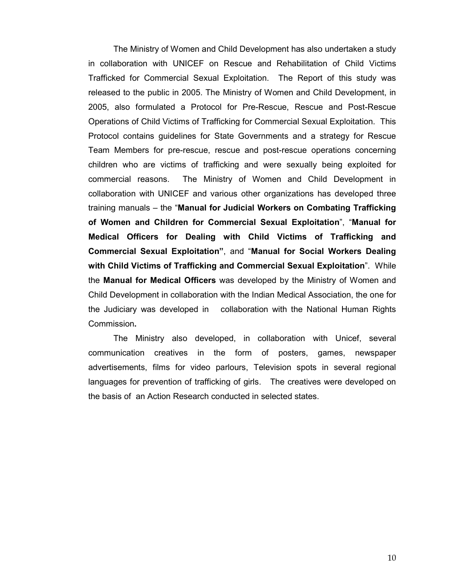The Ministry of Women and Child Development has also undertaken a study in collaboration with UNICEF on Rescue and Rehabilitation of Child Victims Trafficked for Commercial Sexual Exploitation. The Report of this study was released to the public in 2005. The Ministry of Women and Child Development, in 2005, also formulated a Protocol for Pre-Rescue, Rescue and Post-Rescue Operations of Child Victims of Trafficking for Commercial Sexual Exploitation. This Protocol contains guidelines for State Governments and a strategy for Rescue Team Members for pre-rescue, rescue and post-rescue operations concerning children who are victims of trafficking and were sexually being exploited for commercial reasons. The Ministry of Women and Child Development in collaboration with UNICEF and various other organizations has developed three training manuals – the "Manual for Judicial Workers on Combating Trafficking of Women and Children for Commercial Sexual Exploitation", "Manual for Medical Officers for Dealing with Child Victims of Trafficking and Commercial Sexual Exploitation", and "Manual for Social Workers Dealing with Child Victims of Trafficking and Commercial Sexual Exploitation". While the Manual for Medical Officers was developed by the Ministry of Women and Child Development in collaboration with the Indian Medical Association, the one for the Judiciary was developed in collaboration with the National Human Rights Commission.

 The Ministry also developed, in collaboration with Unicef, several communication creatives in the form of posters, games, newspaper advertisements, films for video parlours, Television spots in several regional languages for prevention of trafficking of girls. The creatives were developed on the basis of an Action Research conducted in selected states.

10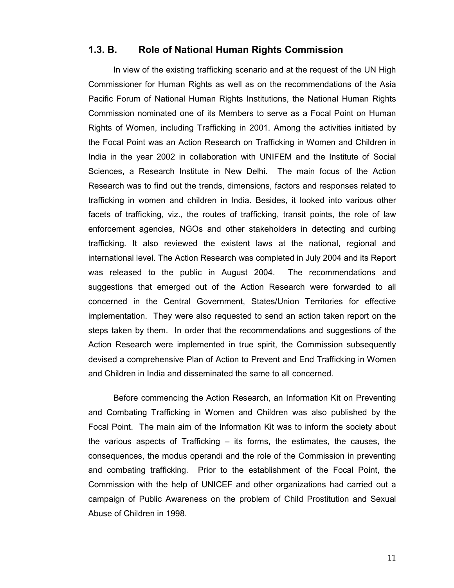#### 1.3. B. Role of National Human Rights Commission

 In view of the existing trafficking scenario and at the request of the UN High Commissioner for Human Rights as well as on the recommendations of the Asia Pacific Forum of National Human Rights Institutions, the National Human Rights Commission nominated one of its Members to serve as a Focal Point on Human Rights of Women, including Trafficking in 2001. Among the activities initiated by the Focal Point was an Action Research on Trafficking in Women and Children in India in the year 2002 in collaboration with UNIFEM and the Institute of Social Sciences, a Research Institute in New Delhi. The main focus of the Action Research was to find out the trends, dimensions, factors and responses related to trafficking in women and children in India. Besides, it looked into various other facets of trafficking, viz., the routes of trafficking, transit points, the role of law enforcement agencies, NGOs and other stakeholders in detecting and curbing trafficking. It also reviewed the existent laws at the national, regional and international level. The Action Research was completed in July 2004 and its Report was released to the public in August 2004. The recommendations and suggestions that emerged out of the Action Research were forwarded to all concerned in the Central Government, States/Union Territories for effective implementation. They were also requested to send an action taken report on the steps taken by them. In order that the recommendations and suggestions of the Action Research were implemented in true spirit, the Commission subsequently devised a comprehensive Plan of Action to Prevent and End Trafficking in Women and Children in India and disseminated the same to all concerned.

 Before commencing the Action Research, an Information Kit on Preventing and Combating Trafficking in Women and Children was also published by the Focal Point. The main aim of the Information Kit was to inform the society about the various aspects of Trafficking – its forms, the estimates, the causes, the consequences, the modus operandi and the role of the Commission in preventing and combating trafficking. Prior to the establishment of the Focal Point, the Commission with the help of UNICEF and other organizations had carried out a campaign of Public Awareness on the problem of Child Prostitution and Sexual Abuse of Children in 1998.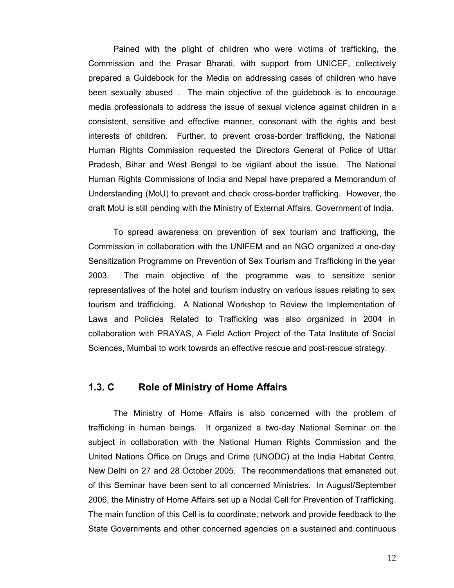Pained with the plight of children who were victims of trafficking, the Commission and the Prasar Bharati, with support from UNICEF, collectively prepared a Guidebook for the Media on addressing cases of children who have been sexually abused . The main objective of the guidebook is to encourage media professionals to address the issue of sexual violence against children in a consistent, sensitive and effective manner, consonant with the rights and best interests of children. Further, to prevent cross-border trafficking, the National Human Rights Commission requested the Directors General of Police of Uttar Pradesh, Bihar and West Bengal to be vigilant about the issue. The National Human Rights Commissions of India and Nepal have prepared a Memorandum of Understanding (MoU) to prevent and check cross-border trafficking. However, the draft MoU is still pending with the Ministry of External Affairs, Government of India.

To spread awareness on prevention of sex tourism and trafficking, the Commission in collaboration with the UNIFEM and an NGO organized a one-day Sensitization Programme on Prevention of Sex Tourism and Trafficking in the year 2003. The main objective of the programme was to sensitize senior representatives of the hotel and tourism industry on various issues relating to sex tourism and trafficking. A National Workshop to Review the Implementation of Laws and Policies Related to Trafficking was also organized in 2004 in collaboration with PRAYAS, A Field Action Project of the Tata Institute of Social Sciences, Mumbai to work towards an effective rescue and post-rescue strategy.

#### 1.3. C Role of Ministry of Home Affairs

 The Ministry of Home Affairs is also concerned with the problem of trafficking in human beings. It organized a two-day National Seminar on the subject in collaboration with the National Human Rights Commission and the United Nations Office on Drugs and Crime (UNODC) at the India Habitat Centre, New Delhi on 27 and 28 October 2005. The recommendations that emanated out of this Seminar have been sent to all concerned Ministries. In August/September 2006, the Ministry of Home Affairs set up a Nodal Cell for Prevention of Trafficking. The main function of this Cell is to coordinate, network and provide feedback to the State Governments and other concerned agencies on a sustained and continuous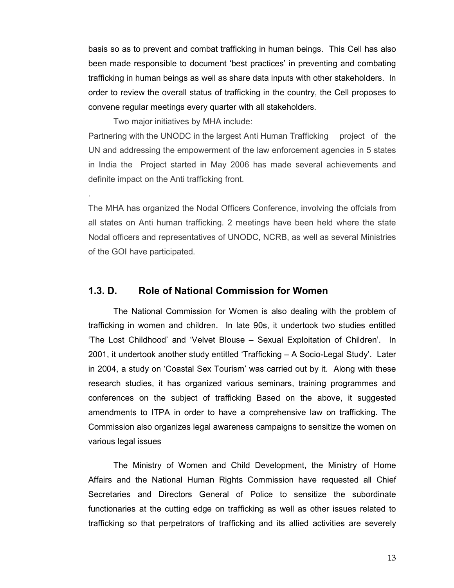basis so as to prevent and combat trafficking in human beings. This Cell has also been made responsible to document 'best practices' in preventing and combating trafficking in human beings as well as share data inputs with other stakeholders. In order to review the overall status of trafficking in the country, the Cell proposes to convene regular meetings every quarter with all stakeholders.

Two major initiatives by MHA include:

.

Partnering with the UNODC in the largest Anti Human Trafficking project of the UN and addressing the empowerment of the law enforcement agencies in 5 states in India the Project started in May 2006 has made several achievements and definite impact on the Anti trafficking front.

The MHA has organized the Nodal Officers Conference, involving the offcials from all states on Anti human trafficking. 2 meetings have been held where the state Nodal officers and representatives of UNODC, NCRB, as well as several Ministries of the GOI have participated.

#### 1.3. D. Role of National Commission for Women

 The National Commission for Women is also dealing with the problem of trafficking in women and children. In late 90s, it undertook two studies entitled 'The Lost Childhood' and 'Velvet Blouse – Sexual Exploitation of Children'. In 2001, it undertook another study entitled 'Trafficking – A Socio-Legal Study'. Later in 2004, a study on 'Coastal Sex Tourism' was carried out by it. Along with these research studies, it has organized various seminars, training programmes and conferences on the subject of trafficking Based on the above, it suggested amendments to ITPA in order to have a comprehensive law on trafficking. The Commission also organizes legal awareness campaigns to sensitize the women on various legal issues

 The Ministry of Women and Child Development, the Ministry of Home Affairs and the National Human Rights Commission have requested all Chief Secretaries and Directors General of Police to sensitize the subordinate functionaries at the cutting edge on trafficking as well as other issues related to trafficking so that perpetrators of trafficking and its allied activities are severely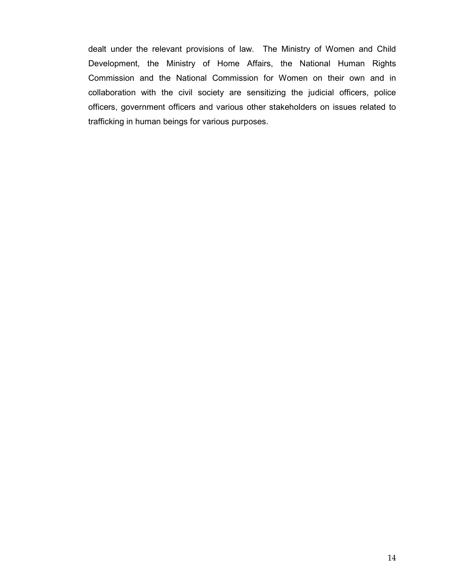dealt under the relevant provisions of law. The Ministry of Women and Child Development, the Ministry of Home Affairs, the National Human Rights Commission and the National Commission for Women on their own and in collaboration with the civil society are sensitizing the judicial officers, police officers, government officers and various other stakeholders on issues related to trafficking in human beings for various purposes.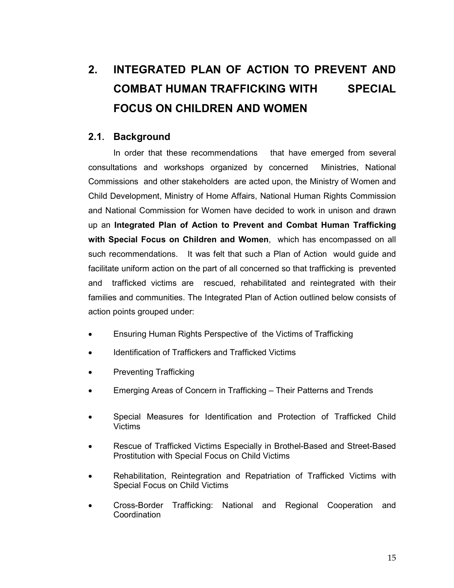## 2. INTEGRATED PLAN OF ACTION TO PREVENT AND COMBAT HUMAN TRAFFICKING WITH SPECIAL FOCUS ON CHILDREN AND WOMEN

### 2.1. Background

 In order that these recommendations that have emerged from several consultations and workshops organized by concerned Ministries, National Commissions and other stakeholders are acted upon, the Ministry of Women and Child Development, Ministry of Home Affairs, National Human Rights Commission and National Commission for Women have decided to work in unison and drawn up an Integrated Plan of Action to Prevent and Combat Human Trafficking with Special Focus on Children and Women, which has encompassed on all such recommendations. It was felt that such a Plan of Action would guide and facilitate uniform action on the part of all concerned so that trafficking is prevented and trafficked victims are rescued, rehabilitated and reintegrated with their families and communities. The Integrated Plan of Action outlined below consists of action points grouped under:

- Ensuring Human Rights Perspective of the Victims of Trafficking
- Identification of Traffickers and Trafficked Victims
- Preventing Trafficking
- Emerging Areas of Concern in Trafficking Their Patterns and Trends
- Special Measures for Identification and Protection of Trafficked Child Victims
- Rescue of Trafficked Victims Especially in Brothel-Based and Street-Based Prostitution with Special Focus on Child Victims
- Rehabilitation, Reintegration and Repatriation of Trafficked Victims with Special Focus on Child Victims
- Cross-Border Trafficking: National and Regional Cooperation and **Coordination**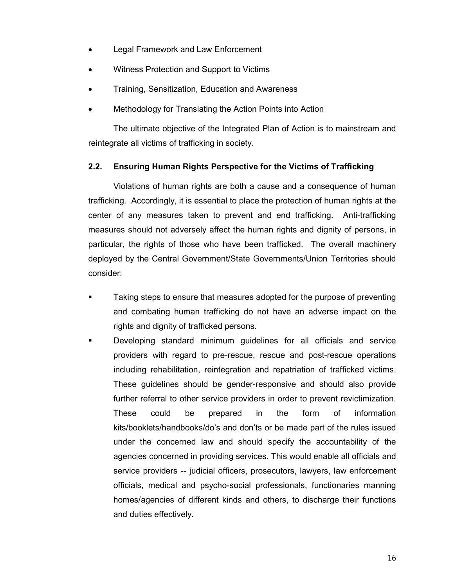- **Legal Framework and Law Enforcement**
- Witness Protection and Support to Victims
- Training, Sensitization, Education and Awareness
- Methodology for Translating the Action Points into Action

The ultimate objective of the Integrated Plan of Action is to mainstream and reintegrate all victims of trafficking in society.

#### 2.2. Ensuring Human Rights Perspective for the Victims of Trafficking

 Violations of human rights are both a cause and a consequence of human trafficking. Accordingly, it is essential to place the protection of human rights at the center of any measures taken to prevent and end trafficking. Anti-trafficking measures should not adversely affect the human rights and dignity of persons, in particular, the rights of those who have been trafficked. The overall machinery deployed by the Central Government/State Governments/Union Territories should consider:

- Taking steps to ensure that measures adopted for the purpose of preventing and combating human trafficking do not have an adverse impact on the rights and dignity of trafficked persons.
- Developing standard minimum guidelines for all officials and service providers with regard to pre-rescue, rescue and post-rescue operations including rehabilitation, reintegration and repatriation of trafficked victims. These guidelines should be gender-responsive and should also provide further referral to other service providers in order to prevent revictimization. These could be prepared in the form of information kits/booklets/handbooks/do's and don'ts or be made part of the rules issued under the concerned law and should specify the accountability of the agencies concerned in providing services. This would enable all officials and service providers -- judicial officers, prosecutors, lawyers, law enforcement officials, medical and psycho-social professionals, functionaries manning homes/agencies of different kinds and others, to discharge their functions and duties effectively.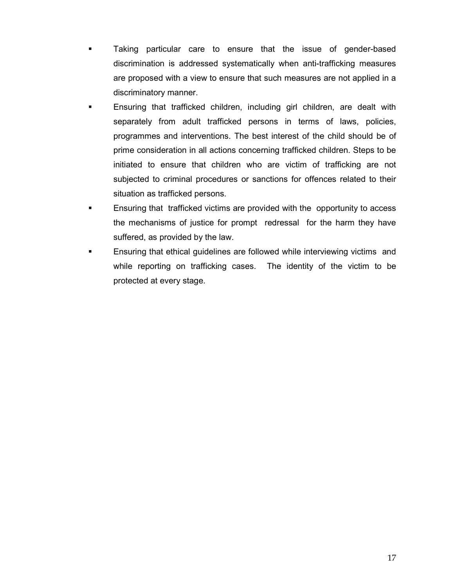- Taking particular care to ensure that the issue of gender-based discrimination is addressed systematically when anti-trafficking measures are proposed with a view to ensure that such measures are not applied in a discriminatory manner.
- Ensuring that trafficked children, including girl children, are dealt with separately from adult trafficked persons in terms of laws, policies, programmes and interventions. The best interest of the child should be of prime consideration in all actions concerning trafficked children. Steps to be initiated to ensure that children who are victim of trafficking are not subjected to criminal procedures or sanctions for offences related to their situation as trafficked persons.
- Ensuring that trafficked victims are provided with the opportunity to access the mechanisms of justice for prompt redressal for the harm they have suffered, as provided by the law.
- Ensuring that ethical guidelines are followed while interviewing victims and while reporting on trafficking cases. The identity of the victim to be protected at every stage.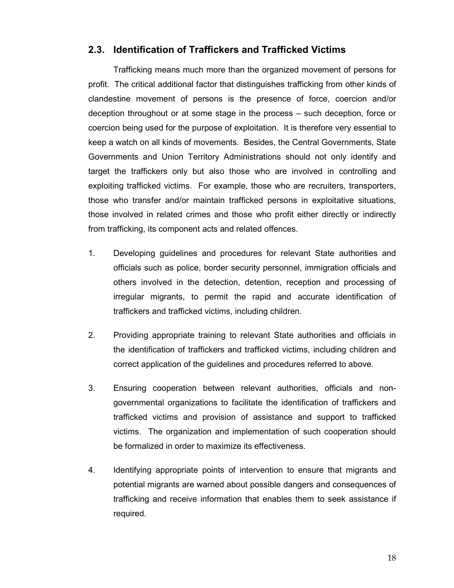#### 2.3. Identification of Traffickers and Trafficked Victims

 Trafficking means much more than the organized movement of persons for profit. The critical additional factor that distinguishes trafficking from other kinds of clandestine movement of persons is the presence of force, coercion and/or deception throughout or at some stage in the process – such deception, force or coercion being used for the purpose of exploitation. It is therefore very essential to keep a watch on all kinds of movements. Besides, the Central Governments, State Governments and Union Territory Administrations should not only identify and target the traffickers only but also those who are involved in controlling and exploiting trafficked victims. For example, those who are recruiters, transporters, those who transfer and/or maintain trafficked persons in exploitative situations, those involved in related crimes and those who profit either directly or indirectly from trafficking, its component acts and related offences.

- 1. Developing guidelines and procedures for relevant State authorities and officials such as police, border security personnel, immigration officials and others involved in the detection, detention, reception and processing of irregular migrants, to permit the rapid and accurate identification of traffickers and trafficked victims, including children.
- 2. Providing appropriate training to relevant State authorities and officials in the identification of traffickers and trafficked victims, including children and correct application of the guidelines and procedures referred to above.
- 3. Ensuring cooperation between relevant authorities, officials and non governmental organizations to facilitate the identification of traffickers and trafficked victims and provision of assistance and support to trafficked victims. The organization and implementation of such cooperation should be formalized in order to maximize its effectiveness.
- 4. Identifying appropriate points of intervention to ensure that migrants and potential migrants are warned about possible dangers and consequences of trafficking and receive information that enables them to seek assistance if required.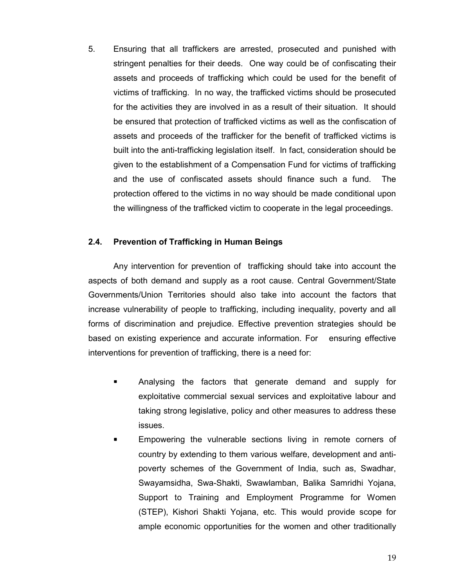5. Ensuring that all traffickers are arrested, prosecuted and punished with stringent penalties for their deeds. One way could be of confiscating their assets and proceeds of trafficking which could be used for the benefit of victims of trafficking. In no way, the trafficked victims should be prosecuted for the activities they are involved in as a result of their situation. It should be ensured that protection of trafficked victims as well as the confiscation of assets and proceeds of the trafficker for the benefit of trafficked victims is built into the anti-trafficking legislation itself. In fact, consideration should be given to the establishment of a Compensation Fund for victims of trafficking and the use of confiscated assets should finance such a fund. The protection offered to the victims in no way should be made conditional upon the willingness of the trafficked victim to cooperate in the legal proceedings.

#### 2.4. Prevention of Trafficking in Human Beings

 Any intervention for prevention of trafficking should take into account the aspects of both demand and supply as a root cause. Central Government/State Governments/Union Territories should also take into account the factors that increase vulnerability of people to trafficking, including inequality, poverty and all forms of discrimination and prejudice. Effective prevention strategies should be based on existing experience and accurate information. For ensuring effective interventions for prevention of trafficking, there is a need for:

- Analysing the factors that generate demand and supply for exploitative commercial sexual services and exploitative labour and taking strong legislative, policy and other measures to address these issues.
- Empowering the vulnerable sections living in remote corners of country by extending to them various welfare, development and antipoverty schemes of the Government of India, such as, Swadhar, Swayamsidha, Swa-Shakti, Swawlamban, Balika Samridhi Yojana, Support to Training and Employment Programme for Women (STEP), Kishori Shakti Yojana, etc. This would provide scope for ample economic opportunities for the women and other traditionally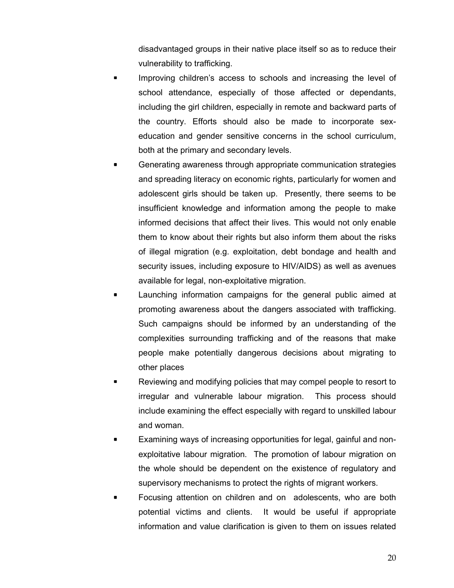disadvantaged groups in their native place itself so as to reduce their vulnerability to trafficking.

- Improving children's access to schools and increasing the level of school attendance, especially of those affected or dependants, including the girl children, especially in remote and backward parts of the country. Efforts should also be made to incorporate sexeducation and gender sensitive concerns in the school curriculum, both at the primary and secondary levels.
- Generating awareness through appropriate communication strategies and spreading literacy on economic rights, particularly for women and adolescent girls should be taken up. Presently, there seems to be insufficient knowledge and information among the people to make informed decisions that affect their lives. This would not only enable them to know about their rights but also inform them about the risks of illegal migration (e.g. exploitation, debt bondage and health and security issues, including exposure to HIV/AIDS) as well as avenues available for legal, non-exploitative migration.
- Launching information campaigns for the general public aimed at promoting awareness about the dangers associated with trafficking. Such campaigns should be informed by an understanding of the complexities surrounding trafficking and of the reasons that make people make potentially dangerous decisions about migrating to other places
- Reviewing and modifying policies that may compel people to resort to irregular and vulnerable labour migration. This process should include examining the effect especially with regard to unskilled labour and woman.
- Examining ways of increasing opportunities for legal, gainful and nonexploitative labour migration. The promotion of labour migration on the whole should be dependent on the existence of regulatory and supervisory mechanisms to protect the rights of migrant workers.
- Focusing attention on children and on adolescents, who are both potential victims and clients. It would be useful if appropriate information and value clarification is given to them on issues related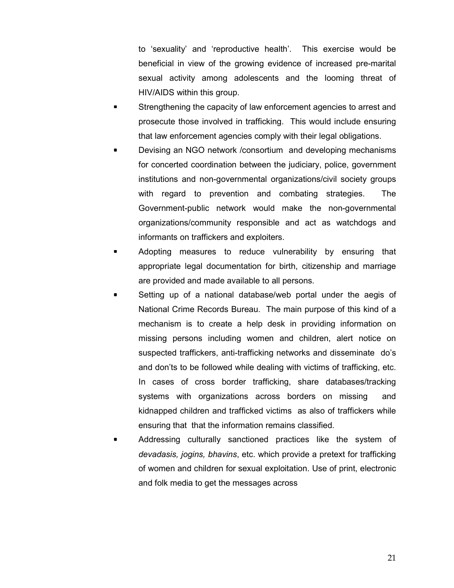to 'sexuality' and 'reproductive health'. This exercise would be beneficial in view of the growing evidence of increased pre-marital sexual activity among adolescents and the looming threat of HIV/AIDS within this group.

- Strengthening the capacity of law enforcement agencies to arrest and prosecute those involved in trafficking. This would include ensuring that law enforcement agencies comply with their legal obligations.
- Devising an NGO network /consortium and developing mechanisms for concerted coordination between the judiciary, police, government institutions and non-governmental organizations/civil society groups with regard to prevention and combating strategies. The Government-public network would make the non-governmental organizations/community responsible and act as watchdogs and informants on traffickers and exploiters.
- Adopting measures to reduce vulnerability by ensuring that appropriate legal documentation for birth, citizenship and marriage are provided and made available to all persons.
- Setting up of a national database/web portal under the aegis of National Crime Records Bureau. The main purpose of this kind of a mechanism is to create a help desk in providing information on missing persons including women and children, alert notice on suspected traffickers, anti-trafficking networks and disseminate do's and don'ts to be followed while dealing with victims of trafficking, etc. In cases of cross border trafficking, share databases/tracking systems with organizations across borders on missing and kidnapped children and trafficked victims as also of traffickers while ensuring that that the information remains classified.
- Addressing culturally sanctioned practices like the system of devadasis, jogins, bhavins, etc. which provide a pretext for trafficking of women and children for sexual exploitation. Use of print, electronic and folk media to get the messages across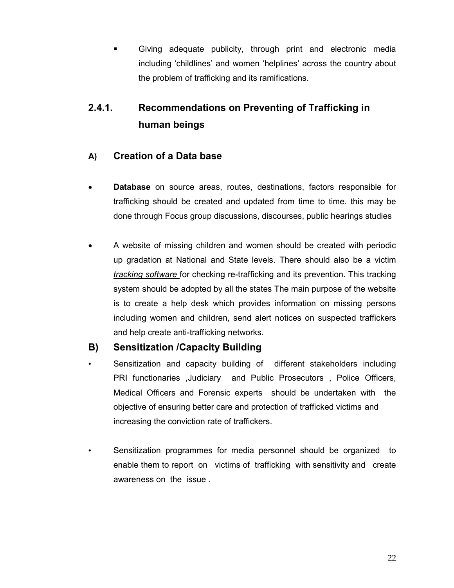Giving adequate publicity, through print and electronic media including 'childlines' and women 'helplines' across the country about the problem of trafficking and its ramifications.

## 2.4.1. Recommendations on Preventing of Trafficking in human beings

## A) Creation of a Data base

- Database on source areas, routes, destinations, factors responsible for trafficking should be created and updated from time to time. this may be done through Focus group discussions, discourses, public hearings studies
- A website of missing children and women should be created with periodic up gradation at National and State levels. There should also be a victim tracking software for checking re-trafficking and its prevention. This tracking system should be adopted by all the states The main purpose of the website is to create a help desk which provides information on missing persons including women and children, send alert notices on suspected traffickers and help create anti-trafficking networks.

#### B) Sensitization /Capacity Building

- Sensitization and capacity building of different stakeholders including PRI functionaries ,Judiciary and Public Prosecutors , Police Officers, Medical Officers and Forensic experts should be undertaken with the objective of ensuring better care and protection of trafficked victims and increasing the conviction rate of traffickers.
- Sensitization programmes for media personnel should be organized to enable them to report on victims of trafficking with sensitivity and create awareness on the issue .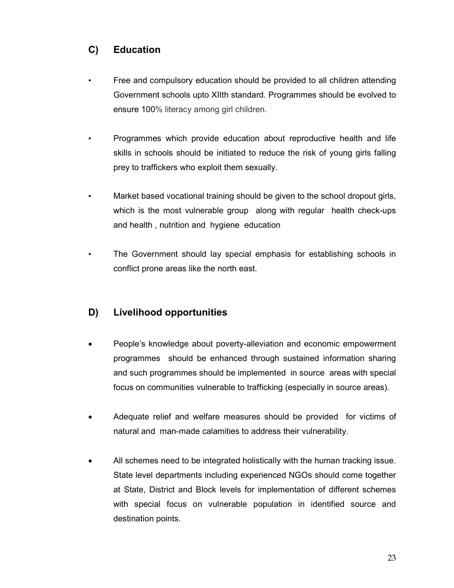## C) Education

- Free and compulsory education should be provided to all children attending Government schools upto XIIth standard. Programmes should be evolved to ensure 100% literacy among girl children.
- Programmes which provide education about reproductive health and life skills in schools should be initiated to reduce the risk of young girls falling prey to traffickers who exploit them sexually.
- Market based vocational training should be given to the school dropout girls, which is the most vulnerable group along with regular health check-ups and health , nutrition and hygiene education
- The Government should lay special emphasis for establishing schools in conflict prone areas like the north east.

## D) Livelihood opportunities

- People's knowledge about poverty-alleviation and economic empowerment programmes should be enhanced through sustained information sharing and such programmes should be implemented in source areas with special focus on communities vulnerable to trafficking (especially in source areas).
- Adequate relief and welfare measures should be provided for victims of natural and man-made calamities to address their vulnerability.
- All schemes need to be integrated holistically with the human tracking issue. State level departments including experienced NGOs should come together at State, District and Block levels for implementation of different schemes with special focus on vulnerable population in identified source and destination points.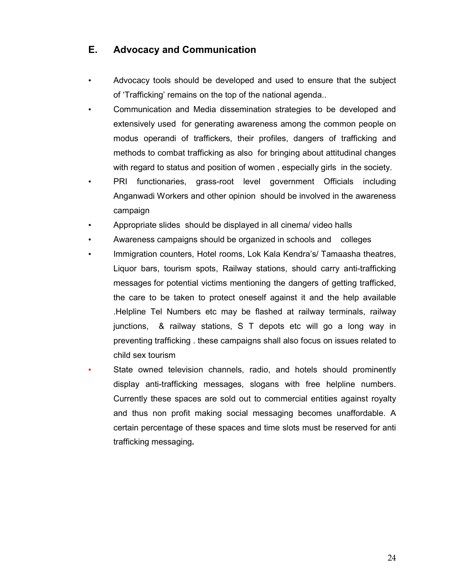## E. Advocacy and Communication

- Advocacy tools should be developed and used to ensure that the subject of 'Trafficking' remains on the top of the national agenda..
- Communication and Media dissemination strategies to be developed and extensively used for generating awareness among the common people on modus operandi of traffickers, their profiles, dangers of trafficking and methods to combat trafficking as also for bringing about attitudinal changes with regard to status and position of women , especially girls in the society.
- PRI functionaries, grass-root level government Officials including Anganwadi Workers and other opinion should be involved in the awareness campaign
- Appropriate slides should be displayed in all cinema/ video halls
- Awareness campaigns should be organized in schools and colleges
- Immigration counters, Hotel rooms, Lok Kala Kendra's/ Tamaasha theatres, Liquor bars, tourism spots, Railway stations, should carry anti-trafficking messages for potential victims mentioning the dangers of getting trafficked, the care to be taken to protect oneself against it and the help available .Helpline Tel Numbers etc may be flashed at railway terminals, railway junctions, & railway stations, S T depots etc will go a long way in preventing trafficking . these campaigns shall also focus on issues related to child sex tourism
- State owned television channels, radio, and hotels should prominently display anti-trafficking messages, slogans with free helpline numbers. Currently these spaces are sold out to commercial entities against royalty and thus non profit making social messaging becomes unaffordable. A certain percentage of these spaces and time slots must be reserved for anti trafficking messaging.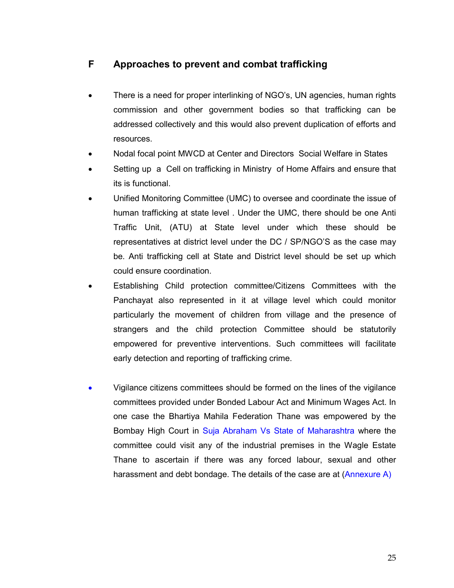## F Approaches to prevent and combat trafficking

- There is a need for proper interlinking of NGO's, UN agencies, human rights commission and other government bodies so that trafficking can be addressed collectively and this would also prevent duplication of efforts and resources.
- Nodal focal point MWCD at Center and Directors Social Welfare in States
- Setting up a Cell on trafficking in Ministry of Home Affairs and ensure that its is functional.
- Unified Monitoring Committee (UMC) to oversee and coordinate the issue of human trafficking at state level . Under the UMC, there should be one Anti Traffic Unit, (ATU) at State level under which these should be representatives at district level under the DC / SP/NGO'S as the case may be. Anti trafficking cell at State and District level should be set up which could ensure coordination.
- Establishing Child protection committee/Citizens Committees with the Panchayat also represented in it at village level which could monitor particularly the movement of children from village and the presence of strangers and the child protection Committee should be statutorily empowered for preventive interventions. Such committees will facilitate early detection and reporting of trafficking crime.
- Vigilance citizens committees should be formed on the lines of the vigilance committees provided under Bonded Labour Act and Minimum Wages Act. In one case the Bhartiya Mahila Federation Thane was empowered by the Bombay High Court in Suja Abraham Vs State of Maharashtra where the committee could visit any of the industrial premises in the Wagle Estate Thane to ascertain if there was any forced labour, sexual and other harassment and debt bondage. The details of the case are at (Annexure A)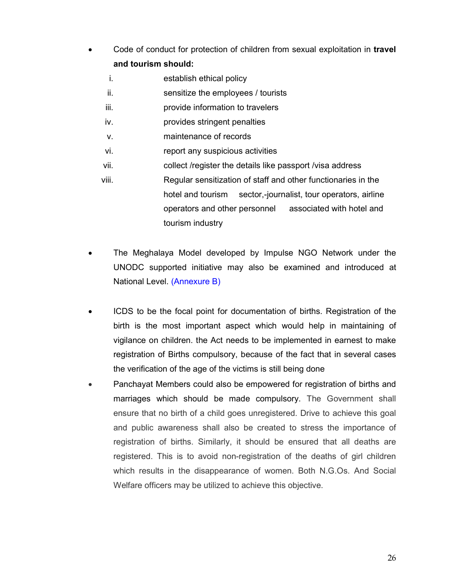- Code of conduct for protection of children from sexual exploitation in travel and tourism should:
	- i. establish ethical policy
	- ii. sensitize the employees / tourists
	- iii. provide information to travelers
	- iv. provides stringent penalties
	- v. maintenance of records
	- vi. report any suspicious activities
	- vii. collect /register the details like passport /visa address
	- viii. Regular sensitization of staff and other functionaries in the hotel and tourism sector,-journalist, tour operators, airline operators and other personnel associated with hotel and tourism industry
- The Meghalaya Model developed by Impulse NGO Network under the UNODC supported initiative may also be examined and introduced at National Level. (Annexure B)
- ICDS to be the focal point for documentation of births. Registration of the birth is the most important aspect which would help in maintaining of vigilance on children. the Act needs to be implemented in earnest to make registration of Births compulsory, because of the fact that in several cases the verification of the age of the victims is still being done
- Panchayat Members could also be empowered for registration of births and marriages which should be made compulsory. The Government shall ensure that no birth of a child goes unregistered. Drive to achieve this goal and public awareness shall also be created to stress the importance of registration of births. Similarly, it should be ensured that all deaths are registered. This is to avoid non-registration of the deaths of girl children which results in the disappearance of women. Both N.G.Os. And Social Welfare officers may be utilized to achieve this objective.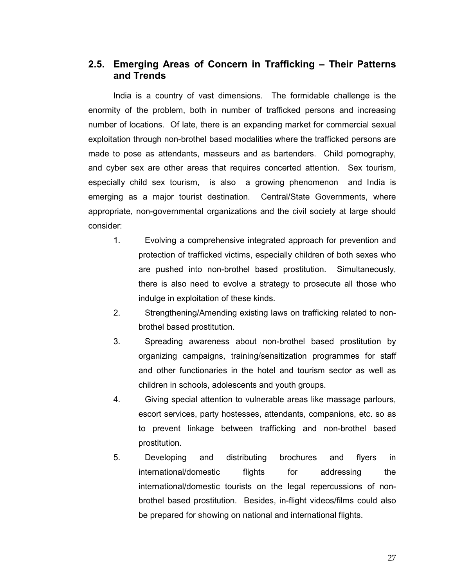#### 2.5. Emerging Areas of Concern in Trafficking – Their Patterns and Trends

 India is a country of vast dimensions. The formidable challenge is the enormity of the problem, both in number of trafficked persons and increasing number of locations. Of late, there is an expanding market for commercial sexual exploitation through non-brothel based modalities where the trafficked persons are made to pose as attendants, masseurs and as bartenders. Child pornography, and cyber sex are other areas that requires concerted attention. Sex tourism, especially child sex tourism, is also a growing phenomenon and India is emerging as a major tourist destination. Central/State Governments, where appropriate, non-governmental organizations and the civil society at large should consider:

- 1. Evolving a comprehensive integrated approach for prevention and protection of trafficked victims, especially children of both sexes who are pushed into non-brothel based prostitution. Simultaneously, there is also need to evolve a strategy to prosecute all those who indulge in exploitation of these kinds.
- 2. Strengthening/Amending existing laws on trafficking related to nonbrothel based prostitution.
- 3. Spreading awareness about non-brothel based prostitution by organizing campaigns, training/sensitization programmes for staff and other functionaries in the hotel and tourism sector as well as children in schools, adolescents and youth groups.
- 4. Giving special attention to vulnerable areas like massage parlours, escort services, party hostesses, attendants, companions, etc. so as to prevent linkage between trafficking and non-brothel based prostitution.
- 5. Developing and distributing brochures and flyers in international/domestic flights for addressing the international/domestic tourists on the legal repercussions of nonbrothel based prostitution. Besides, in-flight videos/films could also be prepared for showing on national and international flights.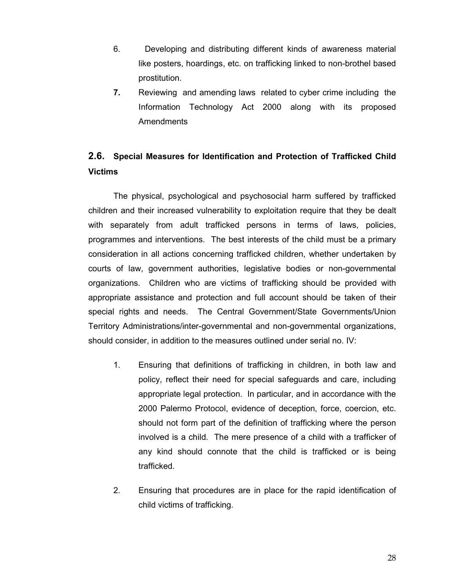- 6. Developing and distributing different kinds of awareness material like posters, hoardings, etc. on trafficking linked to non-brothel based prostitution.
- 7. Reviewing and amending laws related to cyber crime including the Information Technology Act 2000 along with its proposed Amendments

## 2.6. Special Measures for Identification and Protection of Trafficked Child Victims

 The physical, psychological and psychosocial harm suffered by trafficked children and their increased vulnerability to exploitation require that they be dealt with separately from adult trafficked persons in terms of laws, policies, programmes and interventions. The best interests of the child must be a primary consideration in all actions concerning trafficked children, whether undertaken by courts of law, government authorities, legislative bodies or non-governmental organizations. Children who are victims of trafficking should be provided with appropriate assistance and protection and full account should be taken of their special rights and needs. The Central Government/State Governments/Union Territory Administrations/inter-governmental and non-governmental organizations, should consider, in addition to the measures outlined under serial no. IV:

- 1. Ensuring that definitions of trafficking in children, in both law and policy, reflect their need for special safeguards and care, including appropriate legal protection. In particular, and in accordance with the 2000 Palermo Protocol, evidence of deception, force, coercion, etc. should not form part of the definition of trafficking where the person involved is a child. The mere presence of a child with a trafficker of any kind should connote that the child is trafficked or is being trafficked.
- 2. Ensuring that procedures are in place for the rapid identification of child victims of trafficking.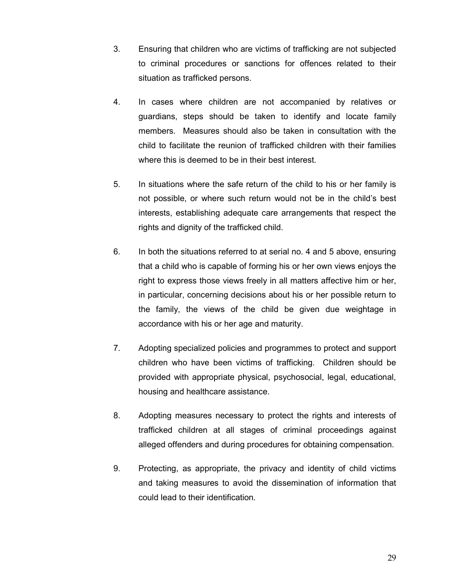- 3. Ensuring that children who are victims of trafficking are not subjected to criminal procedures or sanctions for offences related to their situation as trafficked persons.
- 4. In cases where children are not accompanied by relatives or guardians, steps should be taken to identify and locate family members. Measures should also be taken in consultation with the child to facilitate the reunion of trafficked children with their families where this is deemed to be in their best interest.
- 5. In situations where the safe return of the child to his or her family is not possible, or where such return would not be in the child's best interests, establishing adequate care arrangements that respect the rights and dignity of the trafficked child.
- 6. In both the situations referred to at serial no. 4 and 5 above, ensuring that a child who is capable of forming his or her own views enjoys the right to express those views freely in all matters affective him or her, in particular, concerning decisions about his or her possible return to the family, the views of the child be given due weightage in accordance with his or her age and maturity.
- 7. Adopting specialized policies and programmes to protect and support children who have been victims of trafficking. Children should be provided with appropriate physical, psychosocial, legal, educational, housing and healthcare assistance.
- 8. Adopting measures necessary to protect the rights and interests of trafficked children at all stages of criminal proceedings against alleged offenders and during procedures for obtaining compensation.
- 9. Protecting, as appropriate, the privacy and identity of child victims and taking measures to avoid the dissemination of information that could lead to their identification.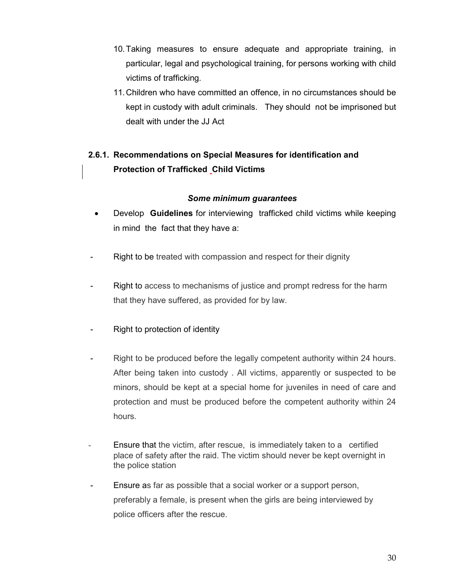- 10. Taking measures to ensure adequate and appropriate training, in particular, legal and psychological training, for persons working with child victims of trafficking.
- 11. Children who have committed an offence, in no circumstances should be kept in custody with adult criminals. They should not be imprisoned but dealt with under the JJ Act

## 2.6.1. Recommendations on Special Measures for identification and Protection of Trafficked Child Victims

#### Some minimum guarantees

- Develop **Guidelines** for interviewing trafficked child victims while keeping in mind the fact that they have a:
- Right to be treated with compassion and respect for their dignity
- Right to access to mechanisms of justice and prompt redress for the harm that they have suffered, as provided for by law.
- Right to protection of identity
- Right to be produced before the legally competent authority within 24 hours. After being taken into custody . All victims, apparently or suspected to be minors, should be kept at a special home for juveniles in need of care and protection and must be produced before the competent authority within 24 hours.
- Ensure that the victim, after rescue, is immediately taken to a certified place of safety after the raid. The victim should never be kept overnight in the police station
- Ensure as far as possible that a social worker or a support person, preferably a female, is present when the girls are being interviewed by police officers after the rescue.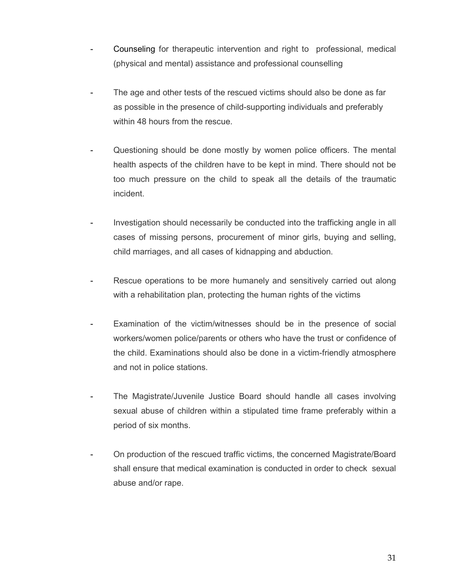- Counseling for therapeutic intervention and right to professional, medical (physical and mental) assistance and professional counselling
- The age and other tests of the rescued victims should also be done as far as possible in the presence of child-supporting individuals and preferably within 48 hours from the rescue.
- Questioning should be done mostly by women police officers. The mental health aspects of the children have to be kept in mind. There should not be too much pressure on the child to speak all the details of the traumatic incident.
- Investigation should necessarily be conducted into the trafficking angle in all cases of missing persons, procurement of minor girls, buying and selling, child marriages, and all cases of kidnapping and abduction.
- Rescue operations to be more humanely and sensitively carried out along with a rehabilitation plan, protecting the human rights of the victims
- Examination of the victim/witnesses should be in the presence of social workers/women police/parents or others who have the trust or confidence of the child. Examinations should also be done in a victim-friendly atmosphere and not in police stations.
- The Magistrate/Juvenile Justice Board should handle all cases involving sexual abuse of children within a stipulated time frame preferably within a period of six months.
- On production of the rescued traffic victims, the concerned Magistrate/Board shall ensure that medical examination is conducted in order to check sexual abuse and/or rape.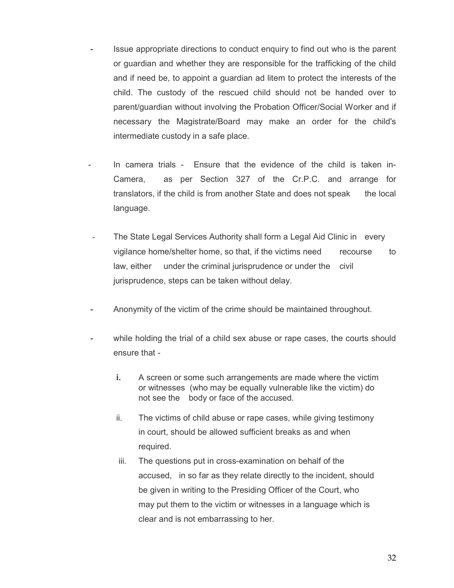- Issue appropriate directions to conduct enquiry to find out who is the parent or guardian and whether they are responsible for the trafficking of the child and if need be, to appoint a guardian ad litem to protect the interests of the child. The custody of the rescued child should not be handed over to parent/guardian without involving the Probation Officer/Social Worker and if necessary the Magistrate/Board may make an order for the child's intermediate custody in a safe place.
- In camera trials Ensure that the evidence of the child is taken in- Camera, as per Section 327 of the Cr.P.C. and arrange for translators, if the child is from another State and does not speak the local language.
- The State Legal Services Authority shall form a Legal Aid Clinic in every vigilance home/shelter home, so that, if the victims need recourse to law, either under the criminal jurisprudence or under the civil jurisprudence, steps can be taken without delay.
- Anonymity of the victim of the crime should be maintained throughout.
- while holding the trial of a child sex abuse or rape cases, the courts should ensure that
	- i. A screen or some such arrangements are made where the victim or witnesses (who may be equally vulnerable like the victim) do not see the body or face of the accused.
	- ii. The victims of child abuse or rape cases, while giving testimony in court, should be allowed sufficient breaks as and when required.
	- iii. The questions put in cross-examination on behalf of the accused, in so far as they relate directly to the incident, should be given in writing to the Presiding Officer of the Court, who may put them to the victim or witnesses in a language which is clear and is not embarrassing to her.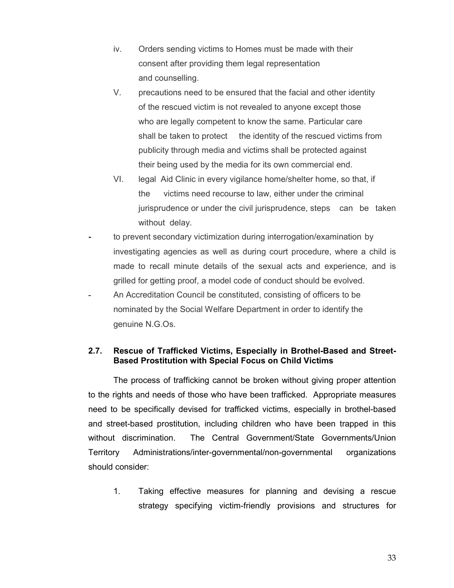- iv. Orders sending victims to Homes must be made with their consent after providing them legal representation and counselling.
- V. precautions need to be ensured that the facial and other identity of the rescued victim is not revealed to anyone except those who are legally competent to know the same. Particular care shall be taken to protect the identity of the rescued victims from publicity through media and victims shall be protected against their being used by the media for its own commercial end.
- VI. legal Aid Clinic in every vigilance home/shelter home, so that, if the victims need recourse to law, either under the criminal jurisprudence or under the civil jurisprudence, steps can be taken without delay.
- to prevent secondary victimization during interrogation/examination by investigating agencies as well as during court procedure, where a child is made to recall minute details of the sexual acts and experience, and is grilled for getting proof, a model code of conduct should be evolved.
- An Accreditation Council be constituted, consisting of officers to be nominated by the Social Welfare Department in order to identify the genuine N.G.Os.

#### 2.7. Rescue of Trafficked Victims, Especially in Brothel-Based and Street-Based Prostitution with Special Focus on Child Victims

 The process of trafficking cannot be broken without giving proper attention to the rights and needs of those who have been trafficked. Appropriate measures need to be specifically devised for trafficked victims, especially in brothel-based and street-based prostitution, including children who have been trapped in this without discrimination. The Central Government/State Governments/Union Territory Administrations/inter-governmental/non-governmental organizations should consider:

1. Taking effective measures for planning and devising a rescue strategy specifying victim-friendly provisions and structures for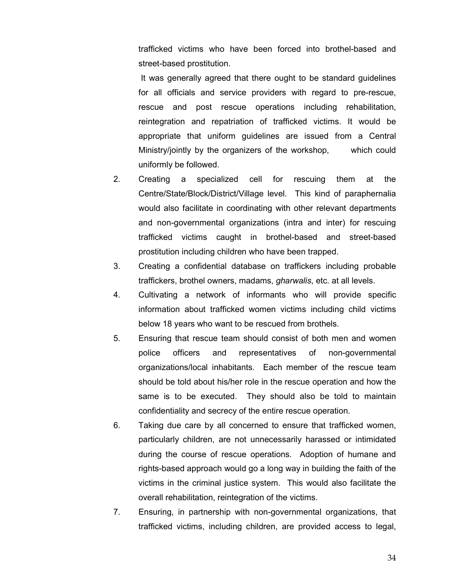trafficked victims who have been forced into brothel-based and street-based prostitution.

 It was generally agreed that there ought to be standard guidelines for all officials and service providers with regard to pre-rescue, rescue and post rescue operations including rehabilitation, reintegration and repatriation of trafficked victims. It would be appropriate that uniform guidelines are issued from a Central Ministry/jointly by the organizers of the workshop, which could uniformly be followed.

- 2. Creating a specialized cell for rescuing them at the Centre/State/Block/District/Village level. This kind of paraphernalia would also facilitate in coordinating with other relevant departments and non-governmental organizations (intra and inter) for rescuing trafficked victims caught in brothel-based and street-based prostitution including children who have been trapped.
- 3. Creating a confidential database on traffickers including probable traffickers, brothel owners, madams, gharwalis, etc. at all levels.
- 4. Cultivating a network of informants who will provide specific information about trafficked women victims including child victims below 18 years who want to be rescued from brothels.
- 5. Ensuring that rescue team should consist of both men and women police officers and representatives of non-governmental organizations/local inhabitants. Each member of the rescue team should be told about his/her role in the rescue operation and how the same is to be executed. They should also be told to maintain confidentiality and secrecy of the entire rescue operation.
- 6. Taking due care by all concerned to ensure that trafficked women, particularly children, are not unnecessarily harassed or intimidated during the course of rescue operations. Adoption of humane and rights-based approach would go a long way in building the faith of the victims in the criminal justice system. This would also facilitate the overall rehabilitation, reintegration of the victims.
- 7. Ensuring, in partnership with non-governmental organizations, that trafficked victims, including children, are provided access to legal,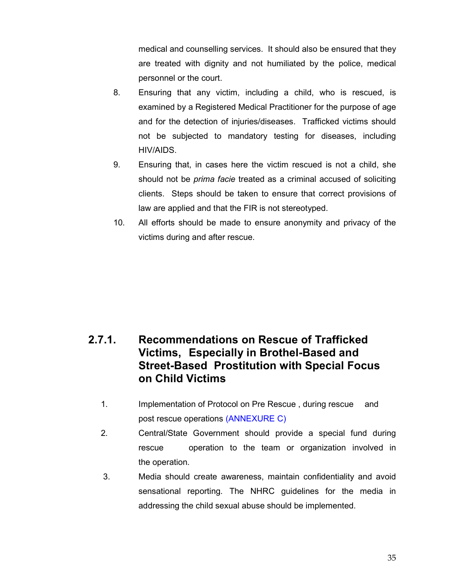medical and counselling services. It should also be ensured that they are treated with dignity and not humiliated by the police, medical personnel or the court.

- 8. Ensuring that any victim, including a child, who is rescued, is examined by a Registered Medical Practitioner for the purpose of age and for the detection of injuries/diseases. Trafficked victims should not be subjected to mandatory testing for diseases, including HIV/AIDS.
- 9. Ensuring that, in cases here the victim rescued is not a child, she should not be *prima facie* treated as a criminal accused of soliciting clients. Steps should be taken to ensure that correct provisions of law are applied and that the FIR is not stereotyped.
- 10. All efforts should be made to ensure anonymity and privacy of the victims during and after rescue.

## 2.7.1. Recommendations on Rescue of Trafficked Victims, Especially in Brothel-Based and Street-Based Prostitution with Special Focus on Child Victims

- 1. Implementation of Protocol on Pre Rescue , during rescue and post rescue operations (ANNEXURE C)
- 2. Central/State Government should provide a special fund during rescue operation to the team or organization involved in the operation.
- 3. Media should create awareness, maintain confidentiality and avoid sensational reporting. The NHRC guidelines for the media in addressing the child sexual abuse should be implemented.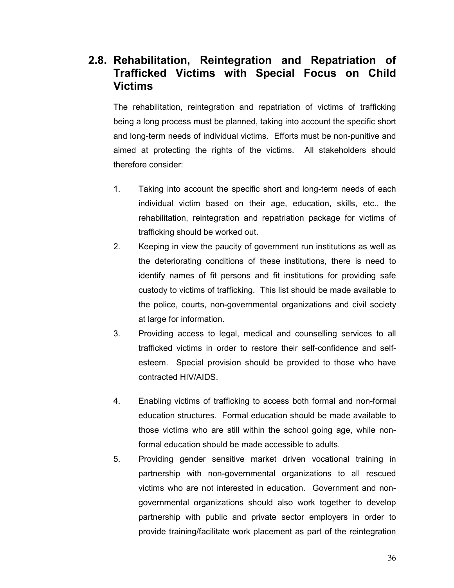## 2.8. Rehabilitation, Reintegration and Repatriation of Trafficked Victims with Special Focus on Child Victims

The rehabilitation, reintegration and repatriation of victims of trafficking being a long process must be planned, taking into account the specific short and long-term needs of individual victims. Efforts must be non-punitive and aimed at protecting the rights of the victims. All stakeholders should therefore consider:

- 1. Taking into account the specific short and long-term needs of each individual victim based on their age, education, skills, etc., the rehabilitation, reintegration and repatriation package for victims of trafficking should be worked out.
- 2. Keeping in view the paucity of government run institutions as well as the deteriorating conditions of these institutions, there is need to identify names of fit persons and fit institutions for providing safe custody to victims of trafficking. This list should be made available to the police, courts, non-governmental organizations and civil society at large for information.
- 3. Providing access to legal, medical and counselling services to all trafficked victims in order to restore their self-confidence and selfesteem. Special provision should be provided to those who have contracted HIV/AIDS.
- 4. Enabling victims of trafficking to access both formal and non-formal education structures. Formal education should be made available to those victims who are still within the school going age, while nonformal education should be made accessible to adults.
- 5. Providing gender sensitive market driven vocational training in partnership with non-governmental organizations to all rescued victims who are not interested in education. Government and nongovernmental organizations should also work together to develop partnership with public and private sector employers in order to provide training/facilitate work placement as part of the reintegration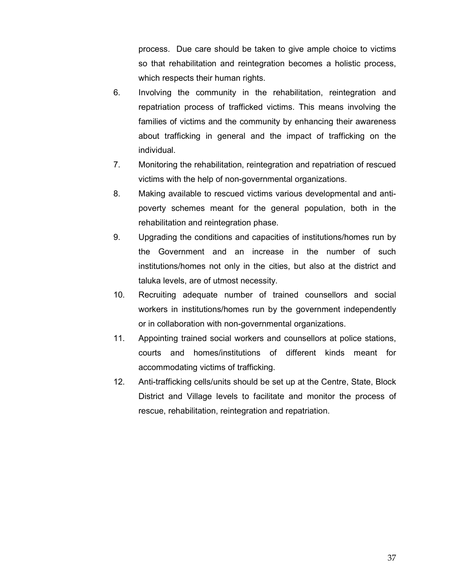process. Due care should be taken to give ample choice to victims so that rehabilitation and reintegration becomes a holistic process, which respects their human rights.

- 6. Involving the community in the rehabilitation, reintegration and repatriation process of trafficked victims. This means involving the families of victims and the community by enhancing their awareness about trafficking in general and the impact of trafficking on the individual.
- 7. Monitoring the rehabilitation, reintegration and repatriation of rescued victims with the help of non-governmental organizations.
- 8. Making available to rescued victims various developmental and antipoverty schemes meant for the general population, both in the rehabilitation and reintegration phase.
- 9. Upgrading the conditions and capacities of institutions/homes run by the Government and an increase in the number of such institutions/homes not only in the cities, but also at the district and taluka levels, are of utmost necessity.
- 10. Recruiting adequate number of trained counsellors and social workers in institutions/homes run by the government independently or in collaboration with non-governmental organizations.
- 11. Appointing trained social workers and counsellors at police stations, courts and homes/institutions of different kinds meant for accommodating victims of trafficking.
- 12. Anti-trafficking cells/units should be set up at the Centre, State, Block District and Village levels to facilitate and monitor the process of rescue, rehabilitation, reintegration and repatriation.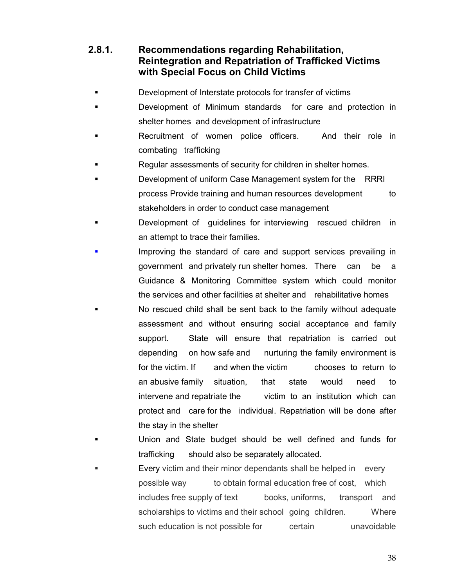# 2.8.1. Recommendations regarding Rehabilitation, Reintegration and Repatriation of Trafficked Victims with Special Focus on Child Victims

- Development of Interstate protocols for transfer of victims
- Development of Minimum standards for care and protection in shelter homes and development of infrastructure
- Recruitment of women police officers. And their role in combating trafficking
- Regular assessments of security for children in shelter homes.
- Development of uniform Case Management system for the RRRI process Provide training and human resources development to stakeholders in order to conduct case management
- Development of guidelines for interviewing rescued children in an attempt to trace their families.
- Improving the standard of care and support services prevailing in government and privately run shelter homes. There can be a Guidance & Monitoring Committee system which could monitor the services and other facilities at shelter and rehabilitative homes
- No rescued child shall be sent back to the family without adequate assessment and without ensuring social acceptance and family support. State will ensure that repatriation is carried out depending on how safe and nurturing the family environment is for the victim. If and when the victim chooses to return to an abusive family situation, that state would need to intervene and repatriate the victim to an institution which can protect and care for the individual. Repatriation will be done after the stay in the shelter
- Union and State budget should be well defined and funds for trafficking should also be separately allocated.
- Every victim and their minor dependants shall be helped in every possible way to obtain formal education free of cost, which includes free supply of text books, uniforms, transport and scholarships to victims and their school going children. Where such education is not possible for example certain unavoidable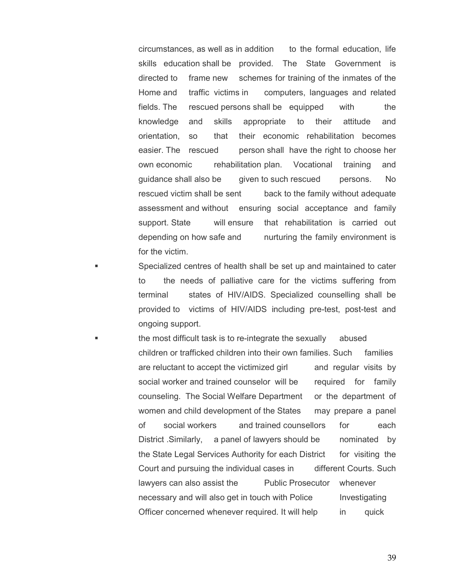circumstances, as well as in addition to the formal education, life skills education shall be provided. The State Government is directed to frame new schemes for training of the inmates of the Home and traffic victims in computers, languages and related fields. The rescued persons shall be equipped with the knowledge and skills appropriate to their attitude and orientation, so that their economic rehabilitation becomes easier. The rescued person shall have the right to choose her own economic rehabilitation plan. Vocational training and guidance shall also be given to such rescued persons. No rescued victim shall be sent back to the family without adequate assessment and without ensuring social acceptance and family support. State will ensure that rehabilitation is carried out depending on how safe and nurturing the family environment is for the victim.

 Specialized centres of health shall be set up and maintained to cater to the needs of palliative care for the victims suffering from terminal states of HIV/AIDS. Specialized counselling shall be provided to victims of HIV/AIDS including pre-test, post-test and ongoing support.

 the most difficult task is to re-integrate the sexually abused children or trafficked children into their own families. Such families are reluctant to accept the victimized girl and regular visits by social worker and trained counselor will be required for family counseling. The Social Welfare Department or the department of women and child development of the States may prepare a panel of social workers and trained counsellors for each District Similarly, a panel of lawyers should be nominated by the State Legal Services Authority for each District for visiting the Court and pursuing the individual cases in different Courts. Such lawyers can also assist the Public Prosecutor whenever necessary and will also get in touch with Police Investigating Officer concerned whenever required. It will help in quick

39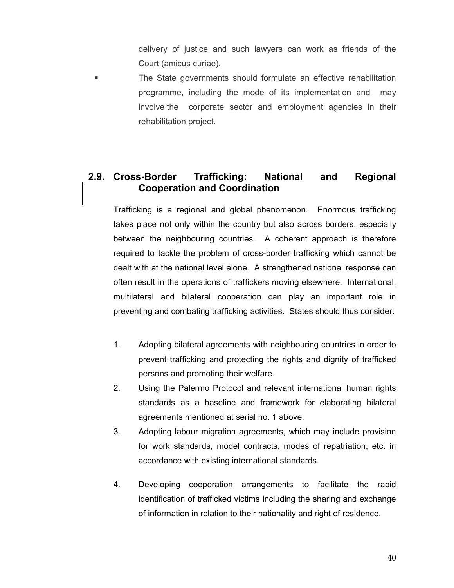delivery of justice and such lawyers can work as friends of the Court (amicus curiae).

 The State governments should formulate an effective rehabilitation programme, including the mode of its implementation and may involve the corporate sector and employment agencies in their rehabilitation project.

# 2.9. Cross-Border Trafficking: National and Regional Cooperation and Coordination

Trafficking is a regional and global phenomenon. Enormous trafficking takes place not only within the country but also across borders, especially between the neighbouring countries. A coherent approach is therefore required to tackle the problem of cross-border trafficking which cannot be dealt with at the national level alone. A strengthened national response can often result in the operations of traffickers moving elsewhere. International, multilateral and bilateral cooperation can play an important role in preventing and combating trafficking activities. States should thus consider:

- 1. Adopting bilateral agreements with neighbouring countries in order to prevent trafficking and protecting the rights and dignity of trafficked persons and promoting their welfare.
- 2. Using the Palermo Protocol and relevant international human rights standards as a baseline and framework for elaborating bilateral agreements mentioned at serial no. 1 above.
- 3. Adopting labour migration agreements, which may include provision for work standards, model contracts, modes of repatriation, etc. in accordance with existing international standards.
- 4. Developing cooperation arrangements to facilitate the rapid identification of trafficked victims including the sharing and exchange of information in relation to their nationality and right of residence.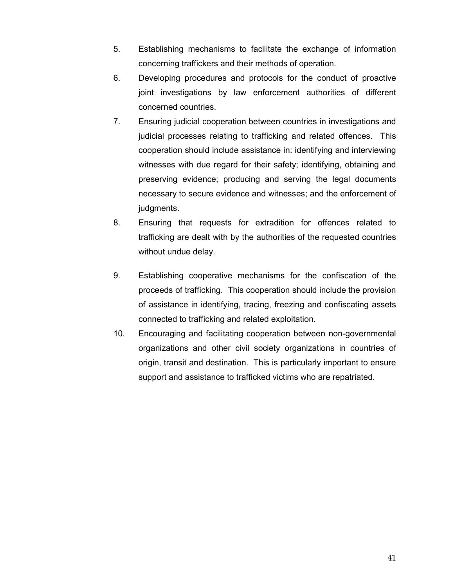- 5. Establishing mechanisms to facilitate the exchange of information concerning traffickers and their methods of operation.
- 6. Developing procedures and protocols for the conduct of proactive joint investigations by law enforcement authorities of different concerned countries.
- 7. Ensuring judicial cooperation between countries in investigations and judicial processes relating to trafficking and related offences. This cooperation should include assistance in: identifying and interviewing witnesses with due regard for their safety; identifying, obtaining and preserving evidence; producing and serving the legal documents necessary to secure evidence and witnesses; and the enforcement of judgments.
- 8. Ensuring that requests for extradition for offences related to trafficking are dealt with by the authorities of the requested countries without undue delay.
- 9. Establishing cooperative mechanisms for the confiscation of the proceeds of trafficking. This cooperation should include the provision of assistance in identifying, tracing, freezing and confiscating assets connected to trafficking and related exploitation.
- 10. Encouraging and facilitating cooperation between non-governmental organizations and other civil society organizations in countries of origin, transit and destination. This is particularly important to ensure support and assistance to trafficked victims who are repatriated.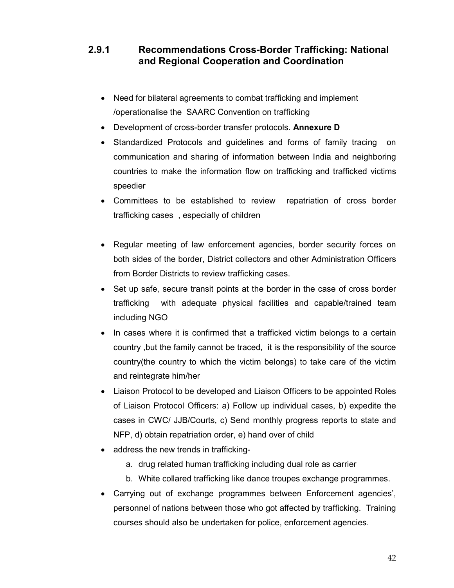# 2.9.1 Recommendations Cross-Border Trafficking: National and Regional Cooperation and Coordination

- Need for bilateral agreements to combat trafficking and implement /operationalise the SAARC Convention on trafficking
- Development of cross-border transfer protocols. Annexure D
- Standardized Protocols and guidelines and forms of family tracing on communication and sharing of information between India and neighboring countries to make the information flow on trafficking and trafficked victims speedier
- Committees to be established to review repatriation of cross border trafficking cases , especially of children
- Regular meeting of law enforcement agencies, border security forces on both sides of the border, District collectors and other Administration Officers from Border Districts to review trafficking cases.
- Set up safe, secure transit points at the border in the case of cross border trafficking with adequate physical facilities and capable/trained team including NGO
- In cases where it is confirmed that a trafficked victim belongs to a certain country ,but the family cannot be traced, it is the responsibility of the source country(the country to which the victim belongs) to take care of the victim and reintegrate him/her
- Liaison Protocol to be developed and Liaison Officers to be appointed Roles of Liaison Protocol Officers: a) Follow up individual cases, b) expedite the cases in CWC/ JJB/Courts, c) Send monthly progress reports to state and NFP, d) obtain repatriation order, e) hand over of child
- address the new trends in trafficking
	- a. drug related human trafficking including dual role as carrier
	- b. White collared trafficking like dance troupes exchange programmes.
- Carrying out of exchange programmes between Enforcement agencies', personnel of nations between those who got affected by trafficking. Training courses should also be undertaken for police, enforcement agencies.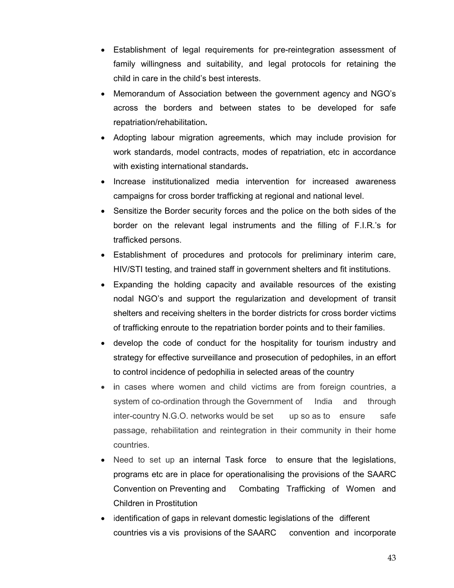- Establishment of legal requirements for pre-reintegration assessment of family willingness and suitability, and legal protocols for retaining the child in care in the child's best interests.
- Memorandum of Association between the government agency and NGO's across the borders and between states to be developed for safe repatriation/rehabilitation.
- Adopting labour migration agreements, which may include provision for work standards, model contracts, modes of repatriation, etc in accordance with existing international standards.
- Increase institutionalized media intervention for increased awareness campaigns for cross border trafficking at regional and national level.
- Sensitize the Border security forces and the police on the both sides of the border on the relevant legal instruments and the filling of F.I.R.'s for trafficked persons.
- Establishment of procedures and protocols for preliminary interim care, HIV/STI testing, and trained staff in government shelters and fit institutions.
- Expanding the holding capacity and available resources of the existing nodal NGO's and support the regularization and development of transit shelters and receiving shelters in the border districts for cross border victims of trafficking enroute to the repatriation border points and to their families.
- develop the code of conduct for the hospitality for tourism industry and strategy for effective surveillance and prosecution of pedophiles, in an effort to control incidence of pedophilia in selected areas of the country
- in cases where women and child victims are from foreign countries, a system of co-ordination through the Government of India and through inter-country N.G.O. networks would be set up so as to ensure safe passage, rehabilitation and reintegration in their community in their home countries.
- Need to set up an internal Task force to ensure that the legislations, programs etc are in place for operationalising the provisions of the SAARC Convention on Preventing and Combating Trafficking of Women and Children in Prostitution
- identification of gaps in relevant domestic legislations of the different countries vis a vis provisions of the SAARC convention and incorporate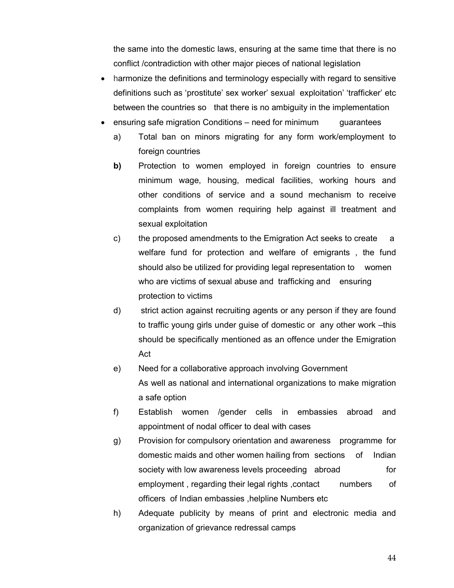the same into the domestic laws, ensuring at the same time that there is no conflict /contradiction with other major pieces of national legislation

- harmonize the definitions and terminology especially with regard to sensitive definitions such as 'prostitute' sex worker' sexual exploitation' 'trafficker' etc between the countries so that there is no ambiguity in the implementation
- ensuring safe migration Conditions need for minimum guarantees
	- a) Total ban on minors migrating for any form work/employment to foreign countries
	- b) Protection to women employed in foreign countries to ensure minimum wage, housing, medical facilities, working hours and other conditions of service and a sound mechanism to receive complaints from women requiring help against ill treatment and sexual exploitation
	- c) the proposed amendments to the Emigration Act seeks to create a welfare fund for protection and welfare of emigrants , the fund should also be utilized for providing legal representation to women who are victims of sexual abuse and trafficking and ensuring protection to victims
	- d) strict action against recruiting agents or any person if they are found to traffic young girls under guise of domestic or any other work –this should be specifically mentioned as an offence under the Emigration Act
	- e) Need for a collaborative approach involving Government As well as national and international organizations to make migration a safe option
	- f) Establish women /gender cells in embassies abroad and appointment of nodal officer to deal with cases
	- g) Provision for compulsory orientation and awareness programme for domestic maids and other women hailing from sections of Indian society with low awareness levels proceeding abroad for employment, regarding their legal rights, contact numbers of officers of Indian embassies ,helpline Numbers etc
	- h) Adequate publicity by means of print and electronic media and organization of grievance redressal camps

44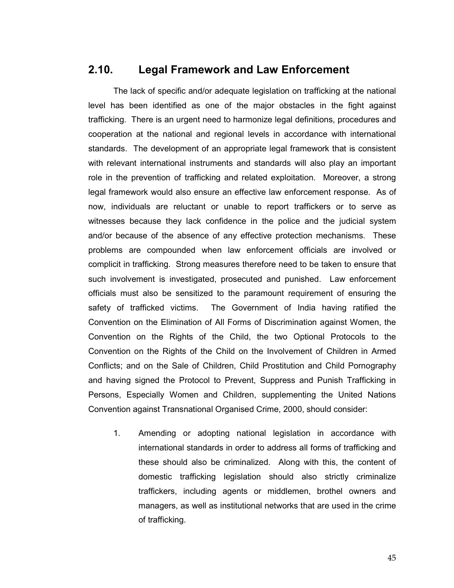# 2.10. Legal Framework and Law Enforcement

 The lack of specific and/or adequate legislation on trafficking at the national level has been identified as one of the major obstacles in the fight against trafficking. There is an urgent need to harmonize legal definitions, procedures and cooperation at the national and regional levels in accordance with international standards. The development of an appropriate legal framework that is consistent with relevant international instruments and standards will also play an important role in the prevention of trafficking and related exploitation. Moreover, a strong legal framework would also ensure an effective law enforcement response. As of now, individuals are reluctant or unable to report traffickers or to serve as witnesses because they lack confidence in the police and the judicial system and/or because of the absence of any effective protection mechanisms. These problems are compounded when law enforcement officials are involved or complicit in trafficking. Strong measures therefore need to be taken to ensure that such involvement is investigated, prosecuted and punished. Law enforcement officials must also be sensitized to the paramount requirement of ensuring the safety of trafficked victims. The Government of India having ratified the Convention on the Elimination of All Forms of Discrimination against Women, the Convention on the Rights of the Child, the two Optional Protocols to the Convention on the Rights of the Child on the Involvement of Children in Armed Conflicts; and on the Sale of Children, Child Prostitution and Child Pornography and having signed the Protocol to Prevent, Suppress and Punish Trafficking in Persons, Especially Women and Children, supplementing the United Nations Convention against Transnational Organised Crime, 2000, should consider:

1. Amending or adopting national legislation in accordance with international standards in order to address all forms of trafficking and these should also be criminalized. Along with this, the content of domestic trafficking legislation should also strictly criminalize traffickers, including agents or middlemen, brothel owners and managers, as well as institutional networks that are used in the crime of trafficking.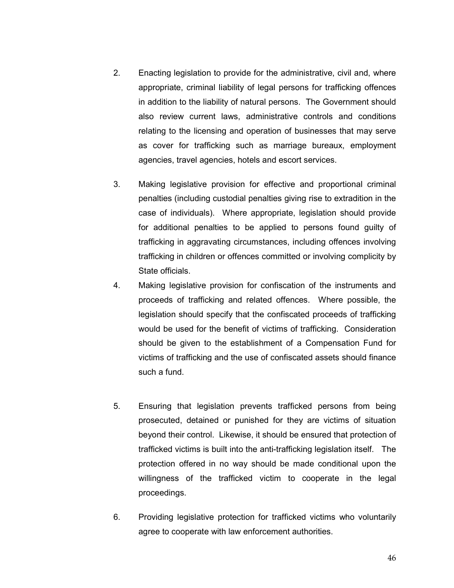- 2. Enacting legislation to provide for the administrative, civil and, where appropriate, criminal liability of legal persons for trafficking offences in addition to the liability of natural persons. The Government should also review current laws, administrative controls and conditions relating to the licensing and operation of businesses that may serve as cover for trafficking such as marriage bureaux, employment agencies, travel agencies, hotels and escort services.
- 3. Making legislative provision for effective and proportional criminal penalties (including custodial penalties giving rise to extradition in the case of individuals). Where appropriate, legislation should provide for additional penalties to be applied to persons found guilty of trafficking in aggravating circumstances, including offences involving trafficking in children or offences committed or involving complicity by State officials.
- 4. Making legislative provision for confiscation of the instruments and proceeds of trafficking and related offences. Where possible, the legislation should specify that the confiscated proceeds of trafficking would be used for the benefit of victims of trafficking. Consideration should be given to the establishment of a Compensation Fund for victims of trafficking and the use of confiscated assets should finance such a fund.
- 5. Ensuring that legislation prevents trafficked persons from being prosecuted, detained or punished for they are victims of situation beyond their control. Likewise, it should be ensured that protection of trafficked victims is built into the anti-trafficking legislation itself. The protection offered in no way should be made conditional upon the willingness of the trafficked victim to cooperate in the legal proceedings.
- 6. Providing legislative protection for trafficked victims who voluntarily agree to cooperate with law enforcement authorities.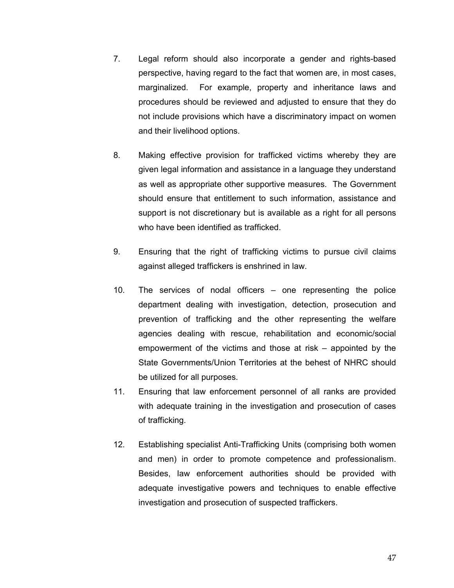- 7. Legal reform should also incorporate a gender and rights-based perspective, having regard to the fact that women are, in most cases, marginalized. For example, property and inheritance laws and procedures should be reviewed and adjusted to ensure that they do not include provisions which have a discriminatory impact on women and their livelihood options.
- 8. Making effective provision for trafficked victims whereby they are given legal information and assistance in a language they understand as well as appropriate other supportive measures. The Government should ensure that entitlement to such information, assistance and support is not discretionary but is available as a right for all persons who have been identified as trafficked.
- 9. Ensuring that the right of trafficking victims to pursue civil claims against alleged traffickers is enshrined in law.
- 10. The services of nodal officers one representing the police department dealing with investigation, detection, prosecution and prevention of trafficking and the other representing the welfare agencies dealing with rescue, rehabilitation and economic/social empowerment of the victims and those at risk – appointed by the State Governments/Union Territories at the behest of NHRC should be utilized for all purposes.
- 11. Ensuring that law enforcement personnel of all ranks are provided with adequate training in the investigation and prosecution of cases of trafficking.
- 12. Establishing specialist Anti-Trafficking Units (comprising both women and men) in order to promote competence and professionalism. Besides, law enforcement authorities should be provided with adequate investigative powers and techniques to enable effective investigation and prosecution of suspected traffickers.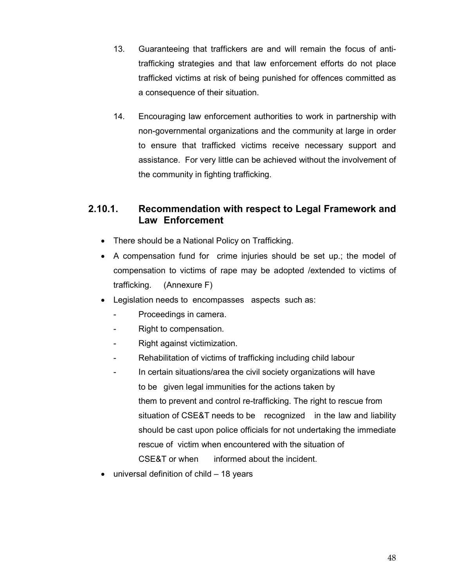- 13. Guaranteeing that traffickers are and will remain the focus of antitrafficking strategies and that law enforcement efforts do not place trafficked victims at risk of being punished for offences committed as a consequence of their situation.
- 14. Encouraging law enforcement authorities to work in partnership with non-governmental organizations and the community at large in order to ensure that trafficked victims receive necessary support and assistance. For very little can be achieved without the involvement of the community in fighting trafficking.

# 2.10.1. Recommendation with respect to Legal Framework and Law Enforcement

- There should be a National Policy on Trafficking.
- A compensation fund for crime injuries should be set up.; the model of compensation to victims of rape may be adopted /extended to victims of trafficking. (Annexure F)
- Legislation needs to encompasses aspects such as:
	- Proceedings in camera.
	- Right to compensation.
	- Right against victimization.
	- Rehabilitation of victims of trafficking including child labour
	- In certain situations/area the civil society organizations will have to be given legal immunities for the actions taken by them to prevent and control re-trafficking. The right to rescue from situation of CSE&T needs to be recognized in the law and liability should be cast upon police officials for not undertaking the immediate rescue of victim when encountered with the situation of CSE&T or when informed about the incident.
- universal definition of child 18 years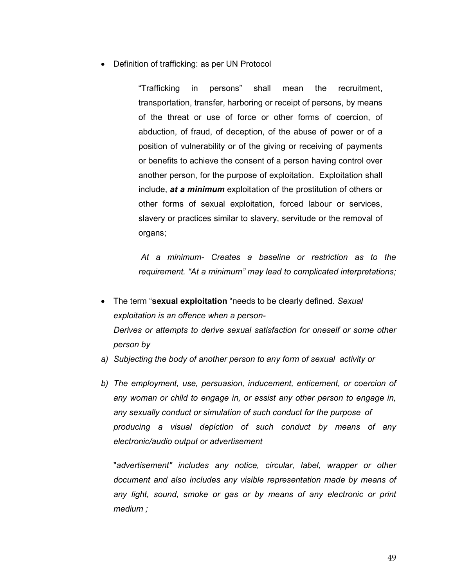• Definition of trafficking: as per UN Protocol

 "Trafficking in persons" shall mean the recruitment, transportation, transfer, harboring or receipt of persons, by means of the threat or use of force or other forms of coercion, of abduction, of fraud, of deception, of the abuse of power or of a position of vulnerability or of the giving or receiving of payments or benefits to achieve the consent of a person having control over another person, for the purpose of exploitation. Exploitation shall include, at a minimum exploitation of the prostitution of others or other forms of sexual exploitation, forced labour or services, slavery or practices similar to slavery, servitude or the removal of organs;

 At a minimum- Creates a baseline or restriction as to the requirement. "At a minimum" may lead to complicated interpretations;

- The term "sexual exploitation "needs to be clearly defined. Sexual exploitation is an offence when a person- Derives or attempts to derive sexual satisfaction for oneself or some other person by
- a) Subjecting the body of another person to any form of sexual activity or
- b) The employment, use, persuasion, inducement, enticement, or coercion of any woman or child to engage in, or assist any other person to engage in, any sexually conduct or simulation of such conduct for the purpose of producing a visual depiction of such conduct by means of any electronic/audio output or advertisement

 "advertisement" includes any notice, circular, label, wrapper or other document and also includes any visible representation made by means of any light, sound, smoke or gas or by means of any electronic or print medium ;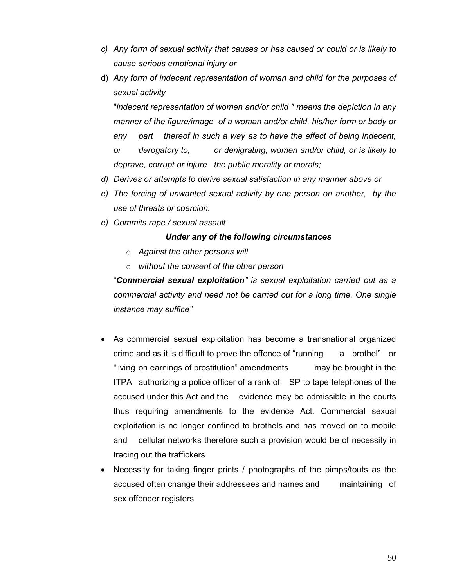- c) Any form of sexual activity that causes or has caused or could or is likely to cause serious emotional injury or
- d) Any form of indecent representation of woman and child for the purposes of sexual activity

 "indecent representation of women and/or child " means the depiction in any manner of the figure/image of a woman and/or child, his/her form or body or any part thereof in such a way as to have the effect of being indecent, or derogatory to, or denigrating, women and/or child, or is likely to deprave, corrupt or injure the public morality or morals;

- d) Derives or attempts to derive sexual satisfaction in any manner above or
- e) The forcing of unwanted sexual activity by one person on another, by the use of threats or coercion.
- e) Commits rape / sexual assault

### Under any of the following circumstances

- $\circ$  Against the other persons will
- $\circ$  without the consent of the other person

"Commercial sexual exploitation" is sexual exploitation carried out as a commercial activity and need not be carried out for a long time. One single instance may suffice"

- As commercial sexual exploitation has become a transnational organized crime and as it is difficult to prove the offence of "running a brothel" or "living on earnings of prostitution" amendments may be brought in the ITPA authorizing a police officer of a rank of SP to tape telephones of the accused under this Act and the evidence may be admissible in the courts thus requiring amendments to the evidence Act. Commercial sexual exploitation is no longer confined to brothels and has moved on to mobile and cellular networks therefore such a provision would be of necessity in tracing out the traffickers
- Necessity for taking finger prints / photographs of the pimps/touts as the accused often change their addressees and names and maintaining of sex offender registers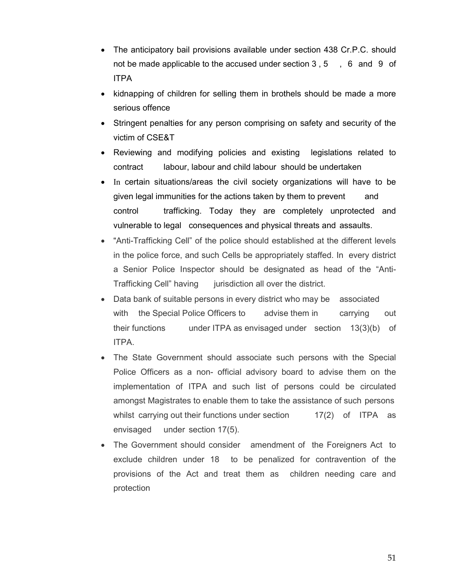- The anticipatory bail provisions available under section 438 Cr.P.C. should not be made applicable to the accused under section  $3, 5, 6$  and  $9$  of ITPA
- kidnapping of children for selling them in brothels should be made a more serious offence
- Stringent penalties for any person comprising on safety and security of the victim of CSE&T
- Reviewing and modifying policies and existing legislations related to contract labour, labour and child labour should be undertaken
- In certain situations/areas the civil society organizations will have to be given legal immunities for the actions taken by them to prevent and control trafficking. Today they are completely unprotected and vulnerable to legal consequences and physical threats and assaults.
- "Anti-Trafficking Cell" of the police should established at the different levels in the police force, and such Cells be appropriately staffed. In every district a Senior Police Inspector should be designated as head of the "Anti-Trafficking Cell" having jurisdiction all over the district.
- Data bank of suitable persons in every district who may be associated with the Special Police Officers to advise them in carrying out their functions under ITPA as envisaged under section 13(3)(b) of ITPA.
- The State Government should associate such persons with the Special Police Officers as a non- official advisory board to advise them on the implementation of ITPA and such list of persons could be circulated amongst Magistrates to enable them to take the assistance of such persons whilst carrying out their functions under section  $17(2)$  of ITPA as envisaged under section 17(5).
- The Government should consider amendment of the Foreigners Act to exclude children under 18 to be penalized for contravention of the provisions of the Act and treat them as children needing care and protection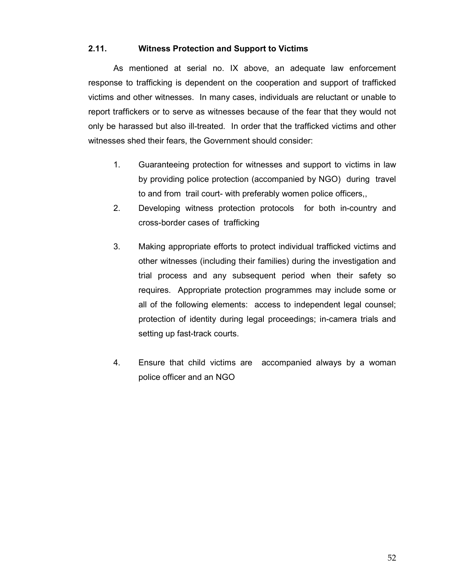### 2.11. Witness Protection and Support to Victims

 As mentioned at serial no. IX above, an adequate law enforcement response to trafficking is dependent on the cooperation and support of trafficked victims and other witnesses. In many cases, individuals are reluctant or unable to report traffickers or to serve as witnesses because of the fear that they would not only be harassed but also ill-treated. In order that the trafficked victims and other witnesses shed their fears, the Government should consider:

- 1. Guaranteeing protection for witnesses and support to victims in law by providing police protection (accompanied by NGO) during travel to and from trail court- with preferably women police officers,,
- 2. Developing witness protection protocols for both in-country and cross-border cases of trafficking
- 3. Making appropriate efforts to protect individual trafficked victims and other witnesses (including their families) during the investigation and trial process and any subsequent period when their safety so requires. Appropriate protection programmes may include some or all of the following elements: access to independent legal counsel; protection of identity during legal proceedings; in-camera trials and setting up fast-track courts.
- 4. Ensure that child victims are accompanied always by a woman police officer and an NGO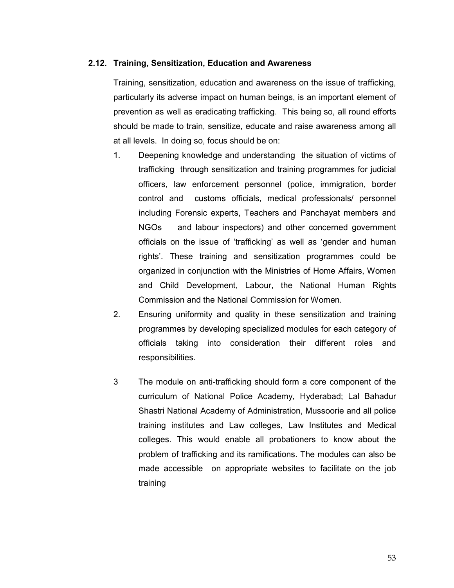### 2.12. Training, Sensitization, Education and Awareness

Training, sensitization, education and awareness on the issue of trafficking, particularly its adverse impact on human beings, is an important element of prevention as well as eradicating trafficking. This being so, all round efforts should be made to train, sensitize, educate and raise awareness among all at all levels. In doing so, focus should be on:

- 1. Deepening knowledge and understanding the situation of victims of trafficking through sensitization and training programmes for judicial officers, law enforcement personnel (police, immigration, border control and customs officials, medical professionals/ personnel including Forensic experts, Teachers and Panchayat members and NGOs and labour inspectors) and other concerned government officials on the issue of 'trafficking' as well as 'gender and human rights'. These training and sensitization programmes could be organized in conjunction with the Ministries of Home Affairs, Women and Child Development, Labour, the National Human Rights Commission and the National Commission for Women.
- 2. Ensuring uniformity and quality in these sensitization and training programmes by developing specialized modules for each category of officials taking into consideration their different roles and responsibilities.
- 3 The module on anti-trafficking should form a core component of the curriculum of National Police Academy, Hyderabad; Lal Bahadur Shastri National Academy of Administration, Mussoorie and all police training institutes and Law colleges, Law Institutes and Medical colleges. This would enable all probationers to know about the problem of trafficking and its ramifications. The modules can also be made accessible on appropriate websites to facilitate on the job training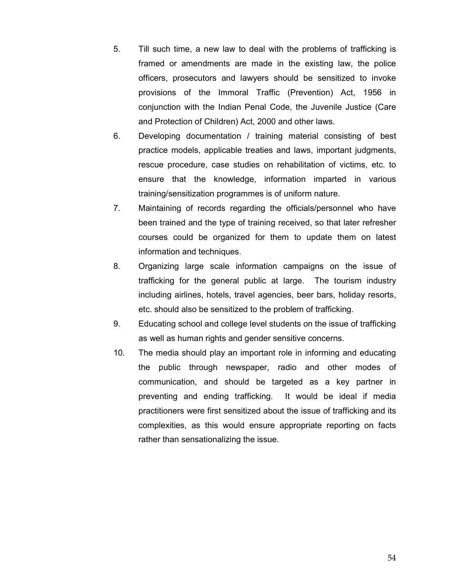- 5. Till such time, a new law to deal with the problems of trafficking is framed or amendments are made in the existing law, the police officers, prosecutors and lawyers should be sensitized to invoke provisions of the Immoral Traffic (Prevention) Act, 1956 in conjunction with the Indian Penal Code, the Juvenile Justice (Care and Protection of Children) Act, 2000 and other laws.
- 6. Developing documentation / training material consisting of best practice models, applicable treaties and laws, important judgments, rescue procedure, case studies on rehabilitation of victims, etc. to ensure that the knowledge, information imparted in various training/sensitization programmes is of uniform nature.
- 7. Maintaining of records regarding the officials/personnel who have been trained and the type of training received, so that later refresher courses could be organized for them to update them on latest information and techniques.
- 8. Organizing large scale information campaigns on the issue of trafficking for the general public at large. The tourism industry including airlines, hotels, travel agencies, beer bars, holiday resorts, etc. should also be sensitized to the problem of trafficking.
- 9. Educating school and college level students on the issue of trafficking as well as human rights and gender sensitive concerns.
- 10. The media should play an important role in informing and educating the public through newspaper, radio and other modes of communication, and should be targeted as a key partner in preventing and ending trafficking. It would be ideal if media practitioners were first sensitized about the issue of trafficking and its complexities, as this would ensure appropriate reporting on facts rather than sensationalizing the issue.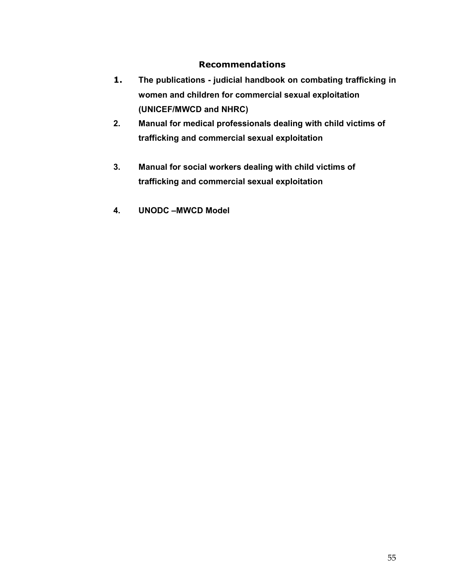## Recommendations

- 1. The publications judicial handbook on combating trafficking in women and children for commercial sexual exploitation (UNICEF/MWCD and NHRC)
- 2. Manual for medical professionals dealing with child victims of trafficking and commercial sexual exploitation
- 3. Manual for social workers dealing with child victims of trafficking and commercial sexual exploitation
- 4. UNODC –MWCD Model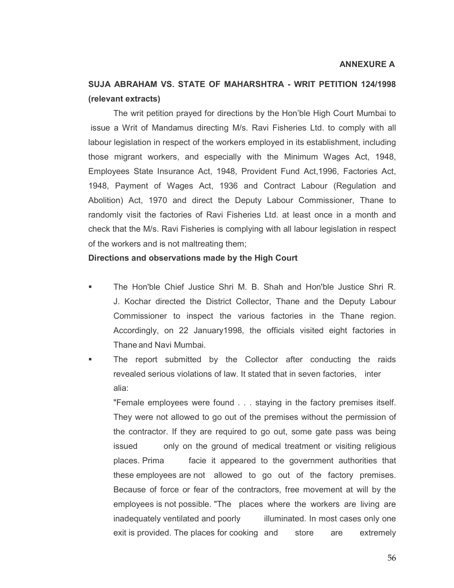### ANNEXURE A

# SUJA ABRAHAM VS. STATE OF MAHARSHTRA - WRIT PETITION 124/1998 (relevant extracts)

 The writ petition prayed for directions by the Hon'ble High Court Mumbai to issue a Writ of Mandamus directing M/s. Ravi Fisheries Ltd. to comply with all labour legislation in respect of the workers employed in its establishment, including those migrant workers, and especially with the Minimum Wages Act, 1948, Employees State Insurance Act, 1948, Provident Fund Act,1996, Factories Act, 1948, Payment of Wages Act, 1936 and Contract Labour (Regulation and Abolition) Act, 1970 and direct the Deputy Labour Commissioner, Thane to randomly visit the factories of Ravi Fisheries Ltd. at least once in a month and check that the M/s. Ravi Fisheries is complying with all labour legislation in respect of the workers and is not maltreating them;

### Directions and observations made by the High Court

- The Hon'ble Chief Justice Shri M. B. Shah and Hon'ble Justice Shri R. J. Kochar directed the District Collector, Thane and the Deputy Labour Commissioner to inspect the various factories in the Thane region. Accordingly, on 22 January1998, the officials visited eight factories in Thane and Navi Mumbai.
- The report submitted by the Collector after conducting the raids revealed serious violations of law. It stated that in seven factories, inter alia:

"Female employees were found . . . staying in the factory premises itself. They were not allowed to go out of the premises without the permission of the contractor. If they are required to go out, some gate pass was being issued only on the ground of medical treatment or visiting religious places. Prima facie it appeared to the government authorities that these employees are not allowed to go out of the factory premises. Because of force or fear of the contractors, free movement at will by the employees is not possible. "The places where the workers are living are inadequately ventilated and poorly illuminated. In most cases only one exit is provided. The places for cooking and store are extremely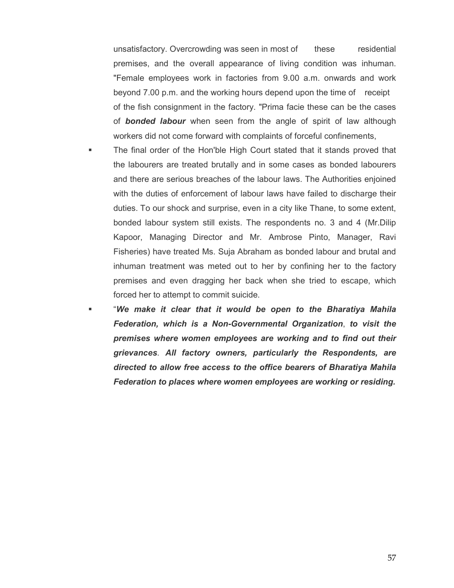unsatisfactory. Overcrowding was seen in most of these residential premises, and the overall appearance of living condition was inhuman. "Female employees work in factories from 9.00 a.m. onwards and work beyond 7.00 p.m. and the working hours depend upon the time of receipt of the fish consignment in the factory. "Prima facie these can be the cases of **bonded labour** when seen from the angle of spirit of law although workers did not come forward with complaints of forceful confinements,

- The final order of the Hon'ble High Court stated that it stands proved that the labourers are treated brutally and in some cases as bonded labourers and there are serious breaches of the labour laws. The Authorities enjoined with the duties of enforcement of labour laws have failed to discharge their duties. To our shock and surprise, even in a city like Thane, to some extent, bonded labour system still exists. The respondents no. 3 and 4 (Mr.Dilip Kapoor, Managing Director and Mr. Ambrose Pinto, Manager, Ravi Fisheries) have treated Ms. Suja Abraham as bonded labour and brutal and inhuman treatment was meted out to her by confining her to the factory premises and even dragging her back when she tried to escape, which forced her to attempt to commit suicide.
- "We make it clear that it would be open to the Bharatiya Mahila Federation, which is a Non-Governmental Organization, to visit the premises where women employees are working and to find out their grievances. All factory owners, particularly the Respondents, are directed to allow free access to the office bearers of Bharatiya Mahila Federation to places where women employees are working or residing.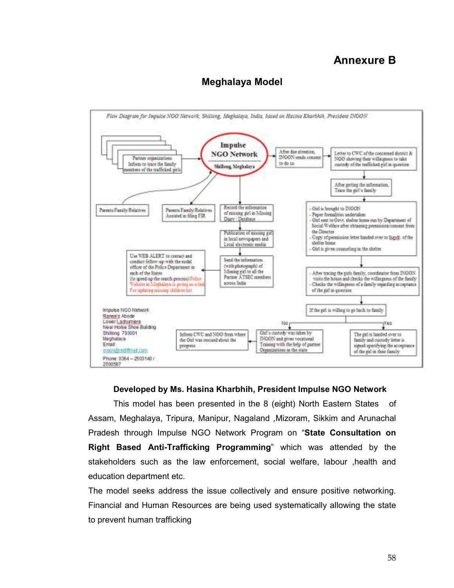# Annexure B



# Meghalaya Model

## Developed by Ms. Hasina Kharbhih, President Impulse NGO Network

 This model has been presented in the 8 (eight) North Eastern States of Assam, Meghalaya, Tripura, Manipur, Nagaland ,Mizoram, Sikkim and Arunachal Pradesh through Impulse NGO Network Program on "State Consultation on Right Based Anti-Trafficking Programming" which was attended by the stakeholders such as the law enforcement, social welfare, labour ,health and education department etc.

The model seeks address the issue collectively and ensure positive networking. Financial and Human Resources are being used systematically allowing the state to prevent human trafficking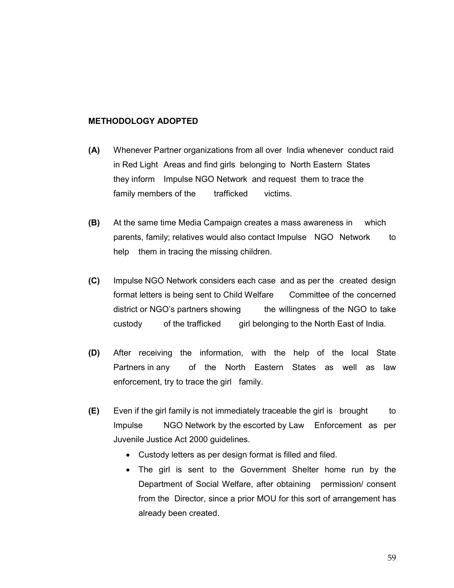## METHODOLOGY ADOPTED

- (A) Whenever Partner organizations from all over India whenever conduct raid in Red Light Areas and find girls belonging to North Eastern States they inform Impulse NGO Network and request them to trace the family members of the trafficked victims.
- (B) At the same time Media Campaign creates a mass awareness in which parents, family; relatives would also contact Impulse NGO Network to help them in tracing the missing children.
- (C) Impulse NGO Network considers each case and as per the created design format letters is being sent to Child Welfare Committee of the concerned district or NGO's partners showing the willingness of the NGO to take custody of the trafficked girl belonging to the North East of India.
- (D) After receiving the information, with the help of the local State Partners in any of the North Eastern States as well as law enforcement, try to trace the girl family.
- $(E)$  Even if the girl family is not immediately traceable the girl is brought to Impulse NGO Network by the escorted by Law Enforcement as per Juvenile Justice Act 2000 guidelines.
	- Custody letters as per design format is filled and filed.
	- The girl is sent to the Government Shelter home run by the Department of Social Welfare, after obtaining permission/ consent from the Director, since a prior MOU for this sort of arrangement has already been created.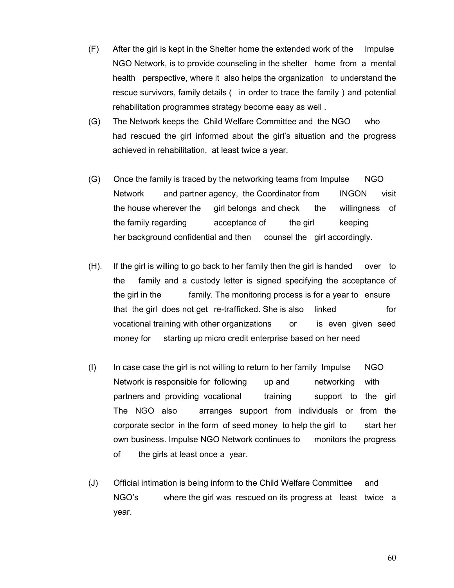- (F) After the girl is kept in the Shelter home the extended work of the Impulse NGO Network, is to provide counseling in the shelter home from a mental health perspective, where it also helps the organization to understand the rescue survivors, family details ( in order to trace the family ) and potential rehabilitation programmes strategy become easy as well .
- (G) The Network keeps the Child Welfare Committee and the NGO who had rescued the girl informed about the girl's situation and the progress achieved in rehabilitation, at least twice a year.
- (G) Once the family is traced by the networking teams from Impulse NGO Network and partner agency, the Coordinator from INGON visit the house wherever the girl belongs and check the willingness of the family regarding acceptance of the girl keeping her background confidential and then counsel the girl accordingly.
- (H). If the girl is willing to go back to her family then the girl is handed over to the family and a custody letter is signed specifying the acceptance of the girl in the family. The monitoring process is for a year to ensure that the girl does not get re-trafficked. She is also linked for vocational training with other organizations or is even given seed money for starting up micro credit enterprise based on her need
- (I) In case case the girl is not willing to return to her family Impulse NGO Network is responsible for following up and networking with partners and providing vocational training support to the girl The NGO also arranges support from individuals or from the corporate sector in the form of seed money to help the girl to start her own business. Impulse NGO Network continues to monitors the progress of the girls at least once a year.
- (J) Official intimation is being inform to the Child Welfare Committee and NGO's where the girl was rescued on its progress at least twice a year.

60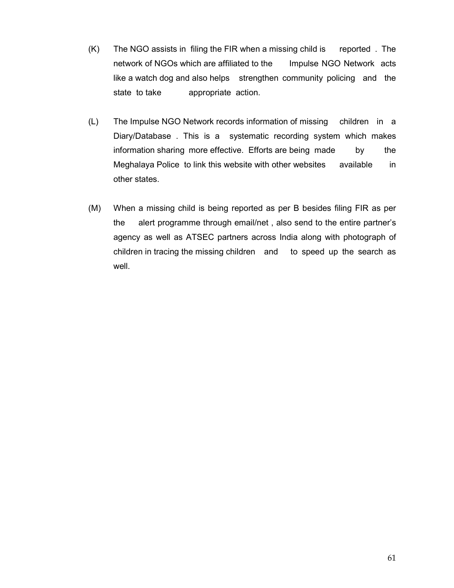- (K) The NGO assists in filing the FIR when a missing child is reported . The network of NGOs which are affiliated to the Impulse NGO Network acts like a watch dog and also helps strengthen community policing and the state to take appropriate action.
- (L) The Impulse NGO Network records information of missing children in a Diary/Database . This is a systematic recording system which makes information sharing more effective. Efforts are being made by the Meghalaya Police to link this website with other websites available in other states.
- (M) When a missing child is being reported as per B besides filing FIR as per the alert programme through email/net , also send to the entire partner's agency as well as ATSEC partners across India along with photograph of children in tracing the missing children and to speed up the search as well.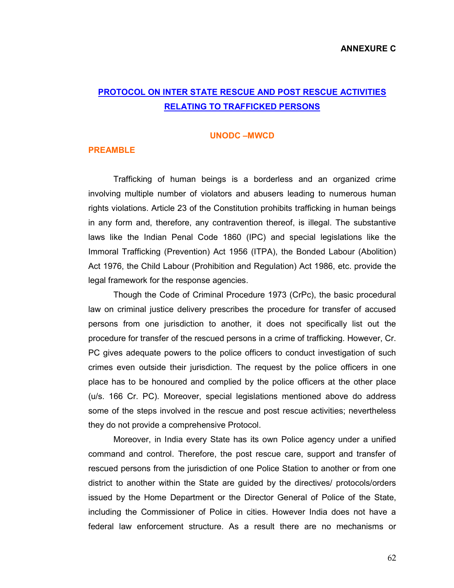# PROTOCOL ON INTER STATE RESCUE AND POST RESCUE ACTIVITIES RELATING TO TRAFFICKED PERSONS

#### UNODC –MWCD

#### PREAMBLE

Trafficking of human beings is a borderless and an organized crime involving multiple number of violators and abusers leading to numerous human rights violations. Article 23 of the Constitution prohibits trafficking in human beings in any form and, therefore, any contravention thereof, is illegal. The substantive laws like the Indian Penal Code 1860 (IPC) and special legislations like the Immoral Trafficking (Prevention) Act 1956 (ITPA), the Bonded Labour (Abolition) Act 1976, the Child Labour (Prohibition and Regulation) Act 1986, etc. provide the legal framework for the response agencies.

Though the Code of Criminal Procedure 1973 (CrPc), the basic procedural law on criminal justice delivery prescribes the procedure for transfer of accused persons from one jurisdiction to another, it does not specifically list out the procedure for transfer of the rescued persons in a crime of trafficking. However, Cr. PC gives adequate powers to the police officers to conduct investigation of such crimes even outside their jurisdiction. The request by the police officers in one place has to be honoured and complied by the police officers at the other place (u/s. 166 Cr. PC). Moreover, special legislations mentioned above do address some of the steps involved in the rescue and post rescue activities; nevertheless they do not provide a comprehensive Protocol.

Moreover, in India every State has its own Police agency under a unified command and control. Therefore, the post rescue care, support and transfer of rescued persons from the jurisdiction of one Police Station to another or from one district to another within the State are guided by the directives/ protocols/orders issued by the Home Department or the Director General of Police of the State, including the Commissioner of Police in cities. However India does not have a federal law enforcement structure. As a result there are no mechanisms or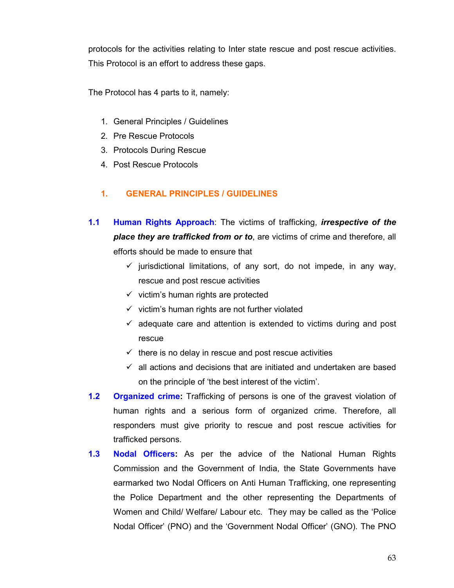protocols for the activities relating to Inter state rescue and post rescue activities. This Protocol is an effort to address these gaps.

The Protocol has 4 parts to it, namely:

- 1. General Principles / Guidelines
- 2. Pre Rescue Protocols
- 3. Protocols During Rescue
- 4. Post Rescue Protocols

## 1. GENERAL PRINCIPLES / GUIDELINES

- 1.1 Human Rights Approach: The victims of trafficking, *irrespective of the* place they are trafficked from or to, are victims of crime and therefore, all efforts should be made to ensure that
	- $\checkmark$  jurisdictional limitations, of any sort, do not impede, in any way, rescue and post rescue activities
	- $\checkmark$  victim's human rights are protected
	- $\checkmark$  victim's human rights are not further violated
	- $\checkmark$  adequate care and attention is extended to victims during and post rescue
	- $\checkmark$  there is no delay in rescue and post rescue activities
	- $\checkmark$  all actions and decisions that are initiated and undertaken are based on the principle of 'the best interest of the victim'.
- 1.2 Organized crime: Trafficking of persons is one of the gravest violation of human rights and a serious form of organized crime. Therefore, all responders must give priority to rescue and post rescue activities for trafficked persons.
- 1.3 Nodal Officers: As per the advice of the National Human Rights Commission and the Government of India, the State Governments have earmarked two Nodal Officers on Anti Human Trafficking, one representing the Police Department and the other representing the Departments of Women and Child/ Welfare/ Labour etc. They may be called as the 'Police Nodal Officer' (PNO) and the 'Government Nodal Officer' (GNO). The PNO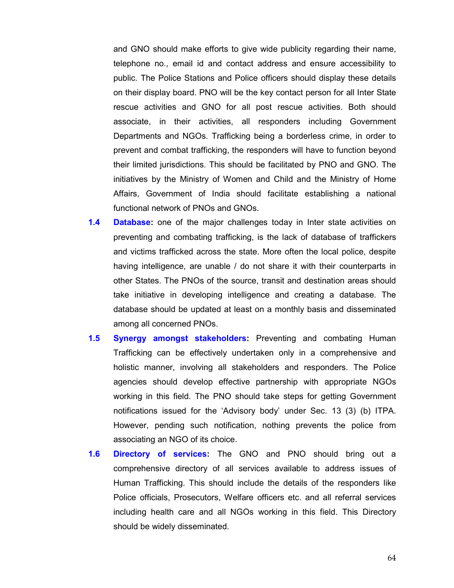and GNO should make efforts to give wide publicity regarding their name, telephone no., email id and contact address and ensure accessibility to public. The Police Stations and Police officers should display these details on their display board. PNO will be the key contact person for all Inter State rescue activities and GNO for all post rescue activities. Both should associate, in their activities, all responders including Government Departments and NGOs. Trafficking being a borderless crime, in order to prevent and combat trafficking, the responders will have to function beyond their limited jurisdictions. This should be facilitated by PNO and GNO. The initiatives by the Ministry of Women and Child and the Ministry of Home Affairs, Government of India should facilitate establishing a national functional network of PNOs and GNOs.

- **1.4 Database:** one of the major challenges today in Inter state activities on preventing and combating trafficking, is the lack of database of traffickers and victims trafficked across the state. More often the local police, despite having intelligence, are unable / do not share it with their counterparts in other States. The PNOs of the source, transit and destination areas should take initiative in developing intelligence and creating a database. The database should be updated at least on a monthly basis and disseminated among all concerned PNOs.
- 1.5 Synergy amongst stakeholders: Preventing and combating Human Trafficking can be effectively undertaken only in a comprehensive and holistic manner, involving all stakeholders and responders. The Police agencies should develop effective partnership with appropriate NGOs working in this field. The PNO should take steps for getting Government notifications issued for the 'Advisory body' under Sec. 13 (3) (b) ITPA. However, pending such notification, nothing prevents the police from associating an NGO of its choice.
- 1.6 Directory of services: The GNO and PNO should bring out a comprehensive directory of all services available to address issues of Human Trafficking. This should include the details of the responders like Police officials, Prosecutors, Welfare officers etc. and all referral services including health care and all NGOs working in this field. This Directory should be widely disseminated.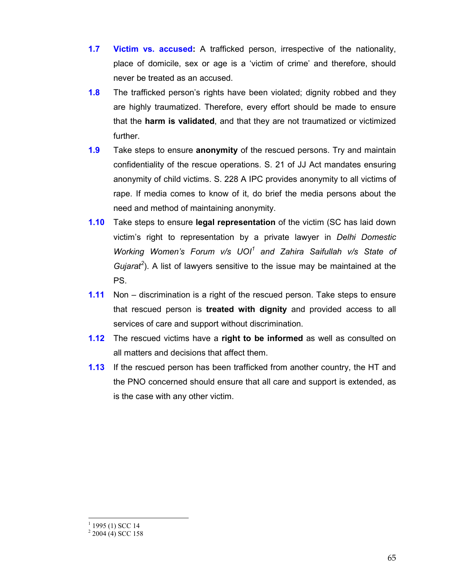- 1.7 Victim vs. accused: A trafficked person, irrespective of the nationality, place of domicile, sex or age is a 'victim of crime' and therefore, should never be treated as an accused.
- **1.8** The trafficked person's rights have been violated; dignity robbed and they are highly traumatized. Therefore, every effort should be made to ensure that the harm is validated, and that they are not traumatized or victimized further.
- **1.9** Take steps to ensure **anonymity** of the rescued persons. Try and maintain confidentiality of the rescue operations. S. 21 of JJ Act mandates ensuring anonymity of child victims. S. 228 A IPC provides anonymity to all victims of rape. If media comes to know of it, do brief the media persons about the need and method of maintaining anonymity.
- 1.10 Take steps to ensure legal representation of the victim (SC has laid down victim's right to representation by a private lawyer in Delhi Domestic Working Women's Forum  $v/s$  UOI $^1$  and Zahira Saifullah  $v/s$  State of Gujarat<sup>2</sup>). A list of lawyers sensitive to the issue may be maintained at the PS.
- 1.11 Non discrimination is a right of the rescued person. Take steps to ensure that rescued person is treated with dignity and provided access to all services of care and support without discrimination.
- **1.12** The rescued victims have a right to be informed as well as consulted on all matters and decisions that affect them.
- **1.13** If the rescued person has been trafficked from another country, the HT and the PNO concerned should ensure that all care and support is extended, as is the case with any other victim.

 $\ddot{\phantom{a}}$ 

 $1$  1995 (1) SCC 14

 $2$  2004 (4) SCC 158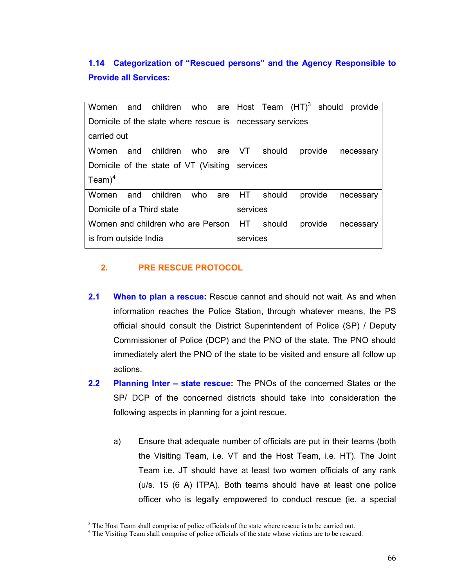1.14 Categorization of "Rescued persons" and the Agency Responsible to Provide all Services:

| Women                                 | and | children who are |     |     |                    |           |         |  | Host Team (HT) <sup>3</sup> should provide |
|---------------------------------------|-----|------------------|-----|-----|--------------------|-----------|---------|--|--------------------------------------------|
| Domicile of the state where rescue is |     |                  |     |     | necessary services |           |         |  |                                            |
| carried out                           |     |                  |     |     |                    |           |         |  |                                            |
| Women                                 | and | children         | who | are | VT.                | should    | provide |  | necessary                                  |
| Domicile of the state of VT (Visiting |     |                  |     |     | services           |           |         |  |                                            |
| $Team)^4$                             |     |                  |     |     |                    |           |         |  |                                            |
| Women                                 | and | children         | who | are |                    | HT should | provide |  | necessary                                  |
| Domicile of a Third state             |     |                  |     |     | services           |           |         |  |                                            |
| Women and children who are Person     |     |                  |     |     | HT.                | should    | provide |  | necessary                                  |
| is from outside India                 |     |                  |     |     | services           |           |         |  |                                            |

## 2. PRE RESCUE PROTOCOL

 $\ddot{\phantom{a}}$ 

- 2.1 When to plan a rescue: Rescue cannot and should not wait. As and when information reaches the Police Station, through whatever means, the PS official should consult the District Superintendent of Police (SP) / Deputy Commissioner of Police (DCP) and the PNO of the state. The PNO should immediately alert the PNO of the state to be visited and ensure all follow up actions.
- 2.2 Planning Inter state rescue: The PNOs of the concerned States or the SP/ DCP of the concerned districts should take into consideration the following aspects in planning for a joint rescue.
	- a) Ensure that adequate number of officials are put in their teams (both the Visiting Team, i.e. VT and the Host Team, i.e. HT). The Joint Team i.e. JT should have at least two women officials of any rank (u/s. 15 (6 A) ITPA). Both teams should have at least one police officer who is legally empowered to conduct rescue (ie. a special

<sup>&</sup>lt;sup>3</sup> The Host Team shall comprise of police officials of the state where rescue is to be carried out.

<sup>&</sup>lt;sup>4</sup> The Visiting Team shall comprise of police officials of the state whose victims are to be rescued.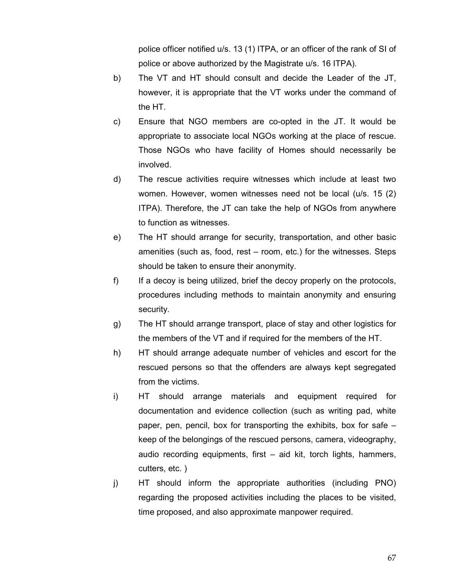police officer notified u/s. 13 (1) ITPA, or an officer of the rank of SI of police or above authorized by the Magistrate u/s. 16 ITPA).

- b) The VT and HT should consult and decide the Leader of the JT, however, it is appropriate that the VT works under the command of the HT.
- c) Ensure that NGO members are co-opted in the JT. It would be appropriate to associate local NGOs working at the place of rescue. Those NGOs who have facility of Homes should necessarily be involved.
- d) The rescue activities require witnesses which include at least two women. However, women witnesses need not be local (u/s. 15 (2) ITPA). Therefore, the JT can take the help of NGOs from anywhere to function as witnesses.
- e) The HT should arrange for security, transportation, and other basic amenities (such as, food, rest – room, etc.) for the witnesses. Steps should be taken to ensure their anonymity.
- f) If a decoy is being utilized, brief the decoy properly on the protocols, procedures including methods to maintain anonymity and ensuring security.
- g) The HT should arrange transport, place of stay and other logistics for the members of the VT and if required for the members of the HT.
- h) HT should arrange adequate number of vehicles and escort for the rescued persons so that the offenders are always kept segregated from the victims.
- i) HT should arrange materials and equipment required for documentation and evidence collection (such as writing pad, white paper, pen, pencil, box for transporting the exhibits, box for safe – keep of the belongings of the rescued persons, camera, videography, audio recording equipments, first – aid kit, torch lights, hammers, cutters, etc. )
- j) HT should inform the appropriate authorities (including PNO) regarding the proposed activities including the places to be visited, time proposed, and also approximate manpower required.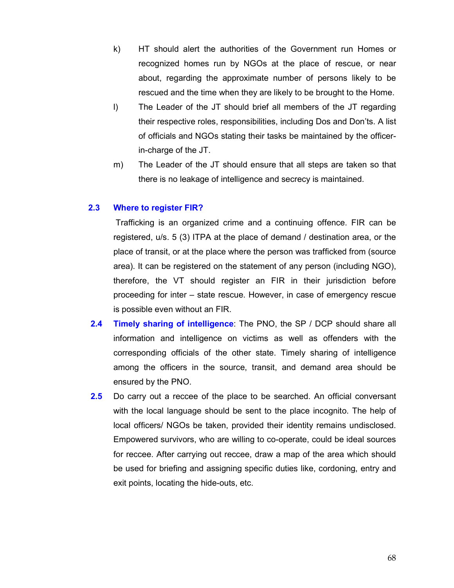- k) HT should alert the authorities of the Government run Homes or recognized homes run by NGOs at the place of rescue, or near about, regarding the approximate number of persons likely to be rescued and the time when they are likely to be brought to the Home.
- l) The Leader of the JT should brief all members of the JT regarding their respective roles, responsibilities, including Dos and Don'ts. A list of officials and NGOs stating their tasks be maintained by the officerin-charge of the JT.
- m) The Leader of the JT should ensure that all steps are taken so that there is no leakage of intelligence and secrecy is maintained.

### 2.3 Where to register FIR?

 Trafficking is an organized crime and a continuing offence. FIR can be registered, u/s. 5 (3) ITPA at the place of demand / destination area, or the place of transit, or at the place where the person was trafficked from (source area). It can be registered on the statement of any person (including NGO), therefore, the VT should register an FIR in their jurisdiction before proceeding for inter – state rescue. However, in case of emergency rescue is possible even without an FIR.

- 2.4 Timely sharing of intelligence: The PNO, the SP / DCP should share all information and intelligence on victims as well as offenders with the corresponding officials of the other state. Timely sharing of intelligence among the officers in the source, transit, and demand area should be ensured by the PNO.
- 2.5 Do carry out a reccee of the place to be searched. An official conversant with the local language should be sent to the place incognito. The help of local officers/ NGOs be taken, provided their identity remains undisclosed. Empowered survivors, who are willing to co-operate, could be ideal sources for reccee. After carrying out reccee, draw a map of the area which should be used for briefing and assigning specific duties like, cordoning, entry and exit points, locating the hide-outs, etc.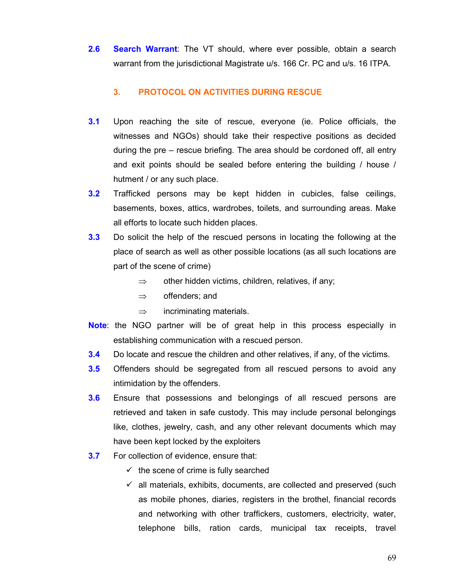2.6 Search Warrant: The VT should, where ever possible, obtain a search warrant from the jurisdictional Magistrate u/s. 166 Cr. PC and u/s. 16 ITPA.

## 3. PROTOCOL ON ACTIVITIES DURING RESCUE

- 3.1 Upon reaching the site of rescue, everyone (ie. Police officials, the witnesses and NGOs) should take their respective positions as decided during the pre – rescue briefing. The area should be cordoned off, all entry and exit points should be sealed before entering the building / house / hutment / or any such place.
- 3.2 Trafficked persons may be kept hidden in cubicles, false ceilings, basements, boxes, attics, wardrobes, toilets, and surrounding areas. Make all efforts to locate such hidden places.
- 3.3 Do solicit the help of the rescued persons in locating the following at the place of search as well as other possible locations (as all such locations are part of the scene of crime)
	- $\Rightarrow$  other hidden victims, children, relatives, if any;
	- ⇒ offenders; and
	- $\Rightarrow$  incriminating materials.
- **Note:** the NGO partner will be of great help in this process especially in establishing communication with a rescued person.
- 3.4 Do locate and rescue the children and other relatives, if any, of the victims.
- **3.5** Offenders should be segregated from all rescued persons to avoid any intimidation by the offenders.
- 3.6 Ensure that possessions and belongings of all rescued persons are retrieved and taken in safe custody. This may include personal belongings like, clothes, jewelry, cash, and any other relevant documents which may have been kept locked by the exploiters
- **3.7** For collection of evidence, ensure that:
	- $\checkmark$  the scene of crime is fully searched
	- $\checkmark$  all materials, exhibits, documents, are collected and preserved (such as mobile phones, diaries, registers in the brothel, financial records and networking with other traffickers, customers, electricity, water, telephone bills, ration cards, municipal tax receipts, travel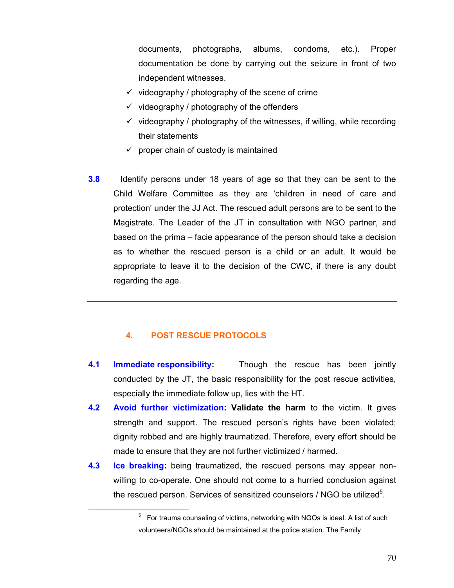documents, photographs, albums, condoms, etc.). Proper documentation be done by carrying out the seizure in front of two independent witnesses.

- $\checkmark$  videography / photography of the scene of crime
- $\checkmark$  videography / photography of the offenders
- $\checkmark$  videography / photography of the witnesses, if willing, while recording their statements
- $\checkmark$  proper chain of custody is maintained
- **3.8** Identify persons under 18 years of age so that they can be sent to the Child Welfare Committee as they are 'children in need of care and protection' under the JJ Act. The rescued adult persons are to be sent to the Magistrate. The Leader of the JT in consultation with NGO partner, and based on the prima – facie appearance of the person should take a decision as to whether the rescued person is a child or an adult. It would be appropriate to leave it to the decision of the CWC, if there is any doubt regarding the age.

## 4. POST RESCUE PROTOCOLS

 $\ddot{\phantom{a}}$ 

- 4.1 Immediate responsibility: Though the rescue has been jointly conducted by the JT, the basic responsibility for the post rescue activities, especially the immediate follow up, lies with the HT.
- 4.2 Avoid further victimization: Validate the harm to the victim. It gives strength and support. The rescued person's rights have been violated; dignity robbed and are highly traumatized. Therefore, every effort should be made to ensure that they are not further victimized / harmed.
- 4.3 Ice breaking: being traumatized, the rescued persons may appear non willing to co-operate. One should not come to a hurried conclusion against the rescued person. Services of sensitized counselors / NGO be utilized $5$ .

 $5$  For trauma counseling of victims, networking with NGOs is ideal. A list of such volunteers/NGOs should be maintained at the police station. The Family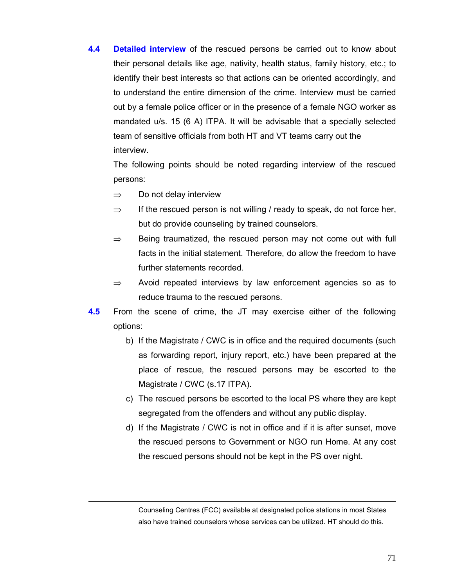4.4 Detailed interview of the rescued persons be carried out to know about their personal details like age, nativity, health status, family history, etc.; to identify their best interests so that actions can be oriented accordingly, and to understand the entire dimension of the crime. Interview must be carried out by a female police officer or in the presence of a female NGO worker as mandated u/s. 15 (6 A) ITPA. It will be advisable that a specially selected team of sensitive officials from both HT and VT teams carry out the interview.

The following points should be noted regarding interview of the rescued persons:

 $\Rightarrow$  Do not delay interview

 $\ddot{\phantom{a}}$ 

- $\Rightarrow$  If the rescued person is not willing / ready to speak, do not force her, but do provide counseling by trained counselors.
- $\Rightarrow$  Being traumatized, the rescued person may not come out with full facts in the initial statement. Therefore, do allow the freedom to have further statements recorded.
- $\Rightarrow$  Avoid repeated interviews by law enforcement agencies so as to reduce trauma to the rescued persons.
- 4.5 From the scene of crime, the JT may exercise either of the following options:
	- b) If the Magistrate / CWC is in office and the required documents (such as forwarding report, injury report, etc.) have been prepared at the place of rescue, the rescued persons may be escorted to the Magistrate / CWC (s.17 ITPA).
	- c) The rescued persons be escorted to the local PS where they are kept segregated from the offenders and without any public display.
	- d) If the Magistrate / CWC is not in office and if it is after sunset, move the rescued persons to Government or NGO run Home. At any cost the rescued persons should not be kept in the PS over night.

Counseling Centres (FCC) available at designated police stations in most States also have trained counselors whose services can be utilized. HT should do this.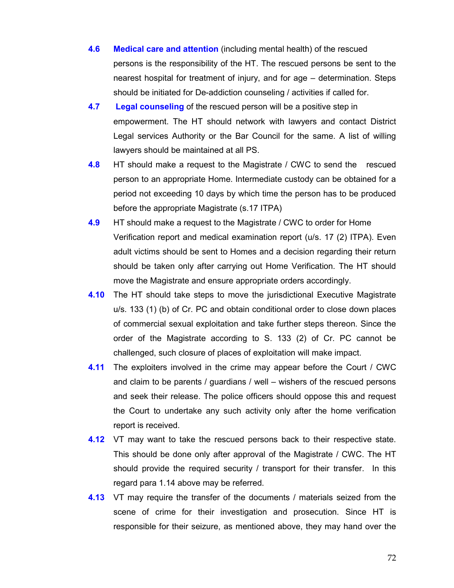- 4.6 Medical care and attention (including mental health) of the rescued persons is the responsibility of the HT. The rescued persons be sent to the nearest hospital for treatment of injury, and for age – determination. Steps should be initiated for De-addiction counseling / activities if called for.
- 4.7 Legal counseling of the rescued person will be a positive step in empowerment. The HT should network with lawyers and contact District Legal services Authority or the Bar Council for the same. A list of willing lawyers should be maintained at all PS.
- **4.8** HT should make a request to the Magistrate / CWC to send the rescued person to an appropriate Home. Intermediate custody can be obtained for a period not exceeding 10 days by which time the person has to be produced before the appropriate Magistrate (s.17 ITPA)
- **4.9** HT should make a request to the Magistrate / CWC to order for Home Verification report and medical examination report (u/s. 17 (2) ITPA). Even adult victims should be sent to Homes and a decision regarding their return should be taken only after carrying out Home Verification. The HT should move the Magistrate and ensure appropriate orders accordingly.
- 4.10 The HT should take steps to move the jurisdictional Executive Magistrate u/s. 133 (1) (b) of Cr. PC and obtain conditional order to close down places of commercial sexual exploitation and take further steps thereon. Since the order of the Magistrate according to S. 133 (2) of Cr. PC cannot be challenged, such closure of places of exploitation will make impact.
- **4.11** The exploiters involved in the crime may appear before the Court / CWC and claim to be parents / guardians / well – wishers of the rescued persons and seek their release. The police officers should oppose this and request the Court to undertake any such activity only after the home verification report is received.
- **4.12** VT may want to take the rescued persons back to their respective state. This should be done only after approval of the Magistrate / CWC. The HT should provide the required security / transport for their transfer. In this regard para 1.14 above may be referred.
- **4.13** VT may require the transfer of the documents / materials seized from the scene of crime for their investigation and prosecution. Since HT is responsible for their seizure, as mentioned above, they may hand over the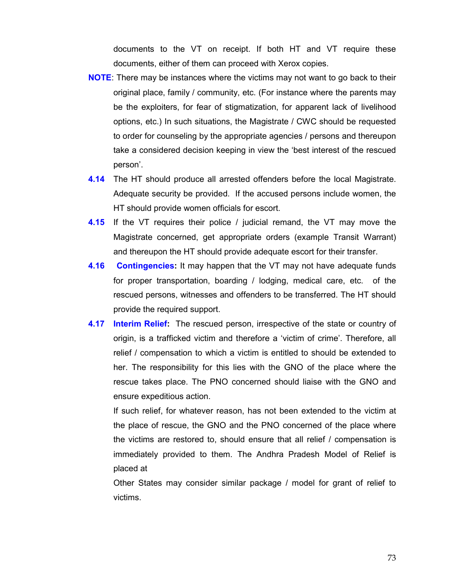documents to the VT on receipt. If both HT and VT require these documents, either of them can proceed with Xerox copies.

- NOTE: There may be instances where the victims may not want to go back to their original place, family / community, etc. (For instance where the parents may be the exploiters, for fear of stigmatization, for apparent lack of livelihood options, etc.) In such situations, the Magistrate / CWC should be requested to order for counseling by the appropriate agencies / persons and thereupon take a considered decision keeping in view the 'best interest of the rescued person'.
- **4.14** The HT should produce all arrested offenders before the local Magistrate. Adequate security be provided. If the accused persons include women, the HT should provide women officials for escort.
- **4.15** If the VT requires their police / judicial remand, the VT may move the Magistrate concerned, get appropriate orders (example Transit Warrant) and thereupon the HT should provide adequate escort for their transfer.
- **4.16 Contingencies:** It may happen that the VT may not have adequate funds for proper transportation, boarding / lodging, medical care, etc. of the rescued persons, witnesses and offenders to be transferred. The HT should provide the required support.
- **4.17 Interim Relief:** The rescued person, irrespective of the state or country of origin, is a trafficked victim and therefore a 'victim of crime'. Therefore, all relief / compensation to which a victim is entitled to should be extended to her. The responsibility for this lies with the GNO of the place where the rescue takes place. The PNO concerned should liaise with the GNO and ensure expeditious action.

 If such relief, for whatever reason, has not been extended to the victim at the place of rescue, the GNO and the PNO concerned of the place where the victims are restored to, should ensure that all relief / compensation is immediately provided to them. The Andhra Pradesh Model of Relief is placed at

 Other States may consider similar package / model for grant of relief to victims.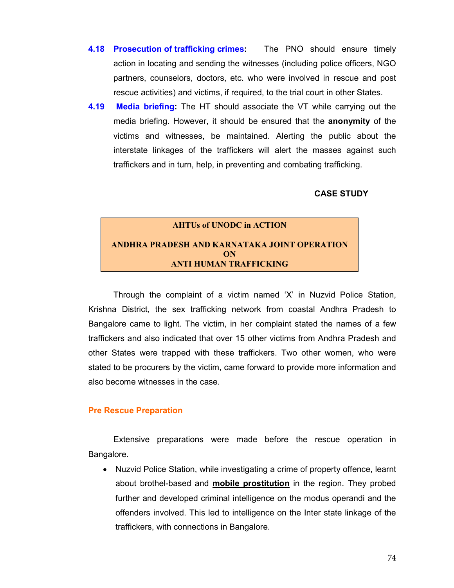- 4.18 Prosecution of trafficking crimes: The PNO should ensure timely action in locating and sending the witnesses (including police officers, NGO partners, counselors, doctors, etc. who were involved in rescue and post rescue activities) and victims, if required, to the trial court in other States.
- 4.19 **Media briefing:** The HT should associate the VT while carrying out the media briefing. However, it should be ensured that the anonymity of the victims and witnesses, be maintained. Alerting the public about the interstate linkages of the traffickers will alert the masses against such traffickers and in turn, help, in preventing and combating trafficking.

#### CASE STUDY

# AHTUs of UNODC in ACTION ANDHRA PRADESH AND KARNATAKA JOINT OPERATION **ON** ANTI HUMAN TRAFFICKING

 Through the complaint of a victim named 'X' in Nuzvid Police Station, Krishna District, the sex trafficking network from coastal Andhra Pradesh to Bangalore came to light. The victim, in her complaint stated the names of a few traffickers and also indicated that over 15 other victims from Andhra Pradesh and other States were trapped with these traffickers. Two other women, who were stated to be procurers by the victim, came forward to provide more information and also become witnesses in the case.

#### Pre Rescue Preparation

 Extensive preparations were made before the rescue operation in Bangalore.

• Nuzvid Police Station, while investigating a crime of property offence, learnt about brothel-based and mobile prostitution in the region. They probed further and developed criminal intelligence on the modus operandi and the offenders involved. This led to intelligence on the Inter state linkage of the traffickers, with connections in Bangalore.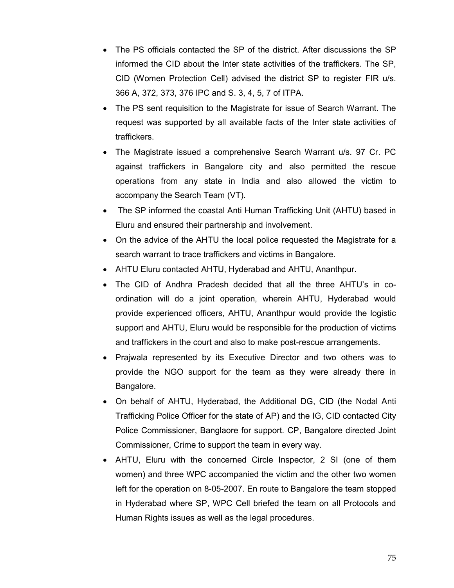- The PS officials contacted the SP of the district. After discussions the SP informed the CID about the Inter state activities of the traffickers. The SP, CID (Women Protection Cell) advised the district SP to register FIR u/s. 366 A, 372, 373, 376 IPC and S. 3, 4, 5, 7 of ITPA.
- The PS sent requisition to the Magistrate for issue of Search Warrant. The request was supported by all available facts of the Inter state activities of traffickers.
- The Magistrate issued a comprehensive Search Warrant u/s. 97 Cr. PC against traffickers in Bangalore city and also permitted the rescue operations from any state in India and also allowed the victim to accompany the Search Team (VT).
- The SP informed the coastal Anti Human Trafficking Unit (AHTU) based in Eluru and ensured their partnership and involvement.
- On the advice of the AHTU the local police requested the Magistrate for a search warrant to trace traffickers and victims in Bangalore.
- AHTU Eluru contacted AHTU, Hyderabad and AHTU, Ananthpur.
- The CID of Andhra Pradesh decided that all the three AHTU's in coordination will do a joint operation, wherein AHTU, Hyderabad would provide experienced officers, AHTU, Ananthpur would provide the logistic support and AHTU, Eluru would be responsible for the production of victims and traffickers in the court and also to make post-rescue arrangements.
- Prajwala represented by its Executive Director and two others was to provide the NGO support for the team as they were already there in Bangalore.
- On behalf of AHTU, Hyderabad, the Additional DG, CID (the Nodal Anti Trafficking Police Officer for the state of AP) and the IG, CID contacted City Police Commissioner, Banglaore for support. CP, Bangalore directed Joint Commissioner, Crime to support the team in every way.
- AHTU, Eluru with the concerned Circle Inspector, 2 SI (one of them women) and three WPC accompanied the victim and the other two women left for the operation on 8-05-2007. En route to Bangalore the team stopped in Hyderabad where SP, WPC Cell briefed the team on all Protocols and Human Rights issues as well as the legal procedures.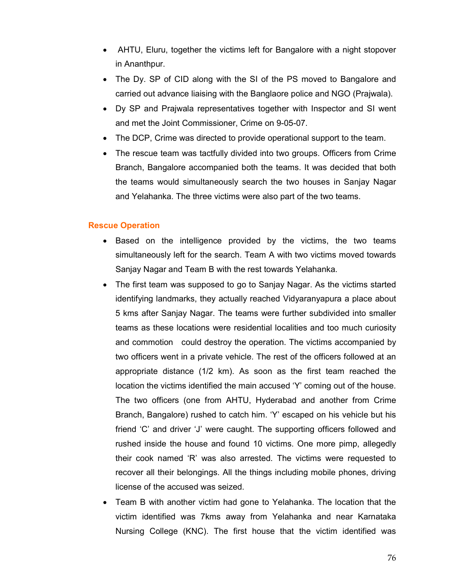- AHTU, Eluru, together the victims left for Bangalore with a night stopover in Ananthpur.
- The Dy. SP of CID along with the SI of the PS moved to Bangalore and carried out advance liaising with the Banglaore police and NGO (Prajwala).
- Dy SP and Prajwala representatives together with Inspector and SI went and met the Joint Commissioner, Crime on 9-05-07.
- The DCP, Crime was directed to provide operational support to the team.
- The rescue team was tactfully divided into two groups. Officers from Crime Branch, Bangalore accompanied both the teams. It was decided that both the teams would simultaneously search the two houses in Sanjay Nagar and Yelahanka. The three victims were also part of the two teams.

#### Rescue Operation

- Based on the intelligence provided by the victims, the two teams simultaneously left for the search. Team A with two victims moved towards Sanjay Nagar and Team B with the rest towards Yelahanka.
- The first team was supposed to go to Sanjay Nagar. As the victims started identifying landmarks, they actually reached Vidyaranyapura a place about 5 kms after Sanjay Nagar. The teams were further subdivided into smaller teams as these locations were residential localities and too much curiosity and commotion could destroy the operation. The victims accompanied by two officers went in a private vehicle. The rest of the officers followed at an appropriate distance (1/2 km). As soon as the first team reached the location the victims identified the main accused 'Y' coming out of the house. The two officers (one from AHTU, Hyderabad and another from Crime Branch, Bangalore) rushed to catch him. 'Y' escaped on his vehicle but his friend 'C' and driver 'J' were caught. The supporting officers followed and rushed inside the house and found 10 victims. One more pimp, allegedly their cook named 'R' was also arrested. The victims were requested to recover all their belongings. All the things including mobile phones, driving license of the accused was seized.
- Team B with another victim had gone to Yelahanka. The location that the victim identified was 7kms away from Yelahanka and near Karnataka Nursing College (KNC). The first house that the victim identified was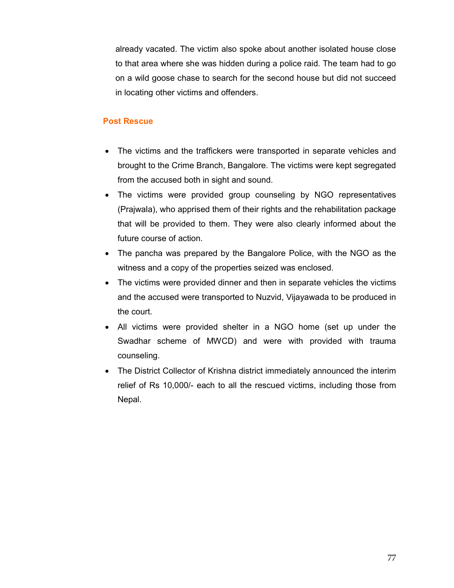already vacated. The victim also spoke about another isolated house close to that area where she was hidden during a police raid. The team had to go on a wild goose chase to search for the second house but did not succeed in locating other victims and offenders.

#### Post Rescue

- The victims and the traffickers were transported in separate vehicles and brought to the Crime Branch, Bangalore. The victims were kept segregated from the accused both in sight and sound.
- The victims were provided group counseling by NGO representatives (Prajwala), who apprised them of their rights and the rehabilitation package that will be provided to them. They were also clearly informed about the future course of action.
- The pancha was prepared by the Bangalore Police, with the NGO as the witness and a copy of the properties seized was enclosed.
- The victims were provided dinner and then in separate vehicles the victims and the accused were transported to Nuzvid, Vijayawada to be produced in the court.
- All victims were provided shelter in a NGO home (set up under the Swadhar scheme of MWCD) and were with provided with trauma counseling.
- The District Collector of Krishna district immediately announced the interim relief of Rs 10,000/- each to all the rescued victims, including those from Nepal.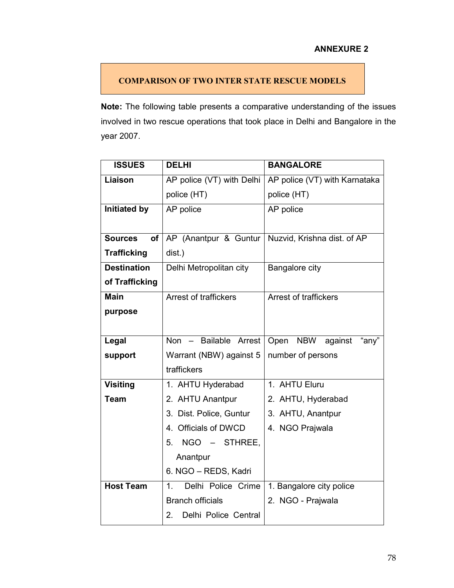## ANNEXURE 2

## COMPARISON OF TWO INTER STATE RESCUE MODELS

Note: The following table presents a comparative understanding of the issues involved in two rescue operations that took place in Delhi and Bangalore in the year 2007.

| <b>ISSUES</b>               | <b>DELHI</b>               | <b>BANGALORE</b>              |
|-----------------------------|----------------------------|-------------------------------|
| Liaison                     | AP police (VT) with Delhi  | AP police (VT) with Karnataka |
|                             | police (HT)                | police (HT)                   |
| <b>Initiated by</b>         | AP police                  | AP police                     |
|                             |                            |                               |
| <b>Sources</b><br><b>of</b> | AP (Anantpur & Guntur      | Nuzvid, Krishna dist. of AP   |
| <b>Trafficking</b>          | dist.)                     |                               |
| <b>Destination</b>          | Delhi Metropolitan city    | Bangalore city                |
| of Trafficking              |                            |                               |
| <b>Main</b>                 | Arrest of traffickers      | <b>Arrest of traffickers</b>  |
| purpose                     |                            |                               |
|                             |                            |                               |
| Legal                       | Non - Bailable Arrest      | Open NBW against<br>"any"     |
| support                     | Warrant (NBW) against 5    | number of persons             |
|                             | traffickers                |                               |
| <b>Visiting</b>             | 1. AHTU Hyderabad          | 1. AHTU Eluru                 |
| <b>Team</b>                 | 2. AHTU Anantpur           | 2. AHTU, Hyderabad            |
|                             | 3. Dist. Police, Guntur    | 3. AHTU, Anantpur             |
|                             | 4. Officials of DWCD       | 4. NGO Prajwala               |
|                             | NGO - STHREE,<br>5.        |                               |
|                             | Anantpur                   |                               |
|                             | 6. NGO - REDS, Kadri       |                               |
| <b>Host Team</b>            | Delhi Police Crime<br>1.   | 1. Bangalore city police      |
|                             | <b>Branch officials</b>    | 2. NGO - Prajwala             |
|                             | Delhi Police Central<br>2. |                               |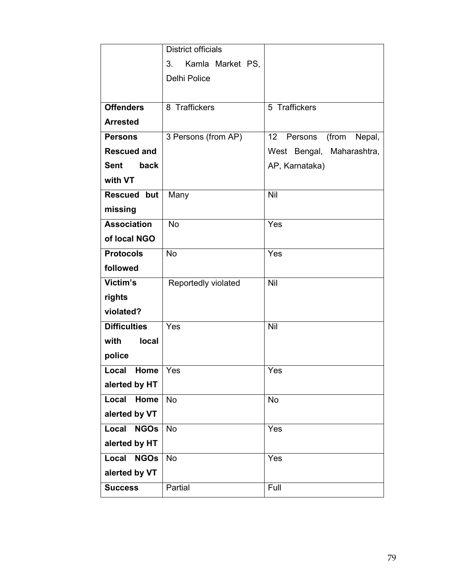|                      | <b>District officials</b> |                                  |
|----------------------|---------------------------|----------------------------------|
|                      | 3.<br>Kamla Market PS,    |                                  |
|                      | <b>Delhi Police</b>       |                                  |
|                      |                           |                                  |
| <b>Offenders</b>     | 8 Traffickers             | 5 Traffickers                    |
| <b>Arrested</b>      |                           |                                  |
| <b>Persons</b>       | 3 Persons (from AP)       | 12<br>(from<br>Persons<br>Nepal, |
| <b>Rescued and</b>   |                           | West Bengal,<br>Maharashtra,     |
| <b>Sent</b><br>back  |                           | AP, Karnataka)                   |
| with VT              |                           |                                  |
| <b>Rescued but</b>   | Many                      | Nil                              |
| missing              |                           |                                  |
| <b>Association</b>   | <b>No</b>                 | Yes                              |
| of local NGO         |                           |                                  |
| <b>Protocols</b>     | <b>No</b>                 | Yes                              |
| followed             |                           |                                  |
| Victim's             | Reportedly violated       | Nil                              |
| rights               |                           |                                  |
| violated?            |                           |                                  |
| <b>Difficulties</b>  | Yes                       | Nil                              |
| with<br><b>local</b> |                           |                                  |
| police               |                           |                                  |
| Local<br><b>Home</b> | Yes                       | Yes                              |
| alerted by HT        |                           |                                  |
| Home<br>Local        | <b>No</b>                 | <b>No</b>                        |
| alerted by VT        |                           |                                  |
| Local<br><b>NGOs</b> | <b>No</b>                 | Yes                              |
| alerted by HT        |                           |                                  |
| Local<br><b>NGOs</b> | <b>No</b>                 | Yes                              |
| alerted by VT        |                           |                                  |
| <b>Success</b>       | Partial                   | Full                             |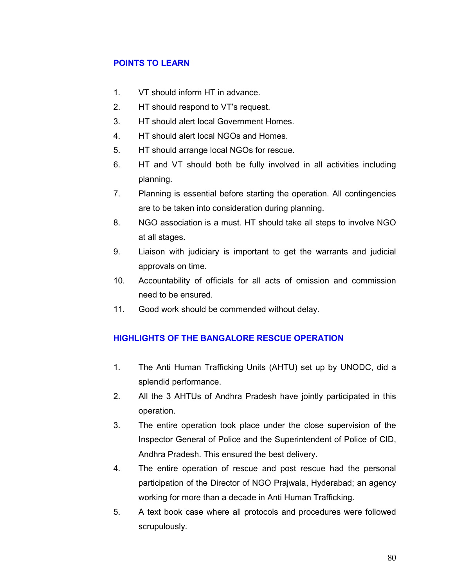## POINTS TO LEARN

- 1. VT should inform HT in advance.
- 2. HT should respond to VT's request.
- 3. HT should alert local Government Homes.
- 4. HT should alert local NGOs and Homes.
- 5. HT should arrange local NGOs for rescue.
- 6. HT and VT should both be fully involved in all activities including planning.
- 7. Planning is essential before starting the operation. All contingencies are to be taken into consideration during planning.
- 8. NGO association is a must. HT should take all steps to involve NGO at all stages.
- 9. Liaison with judiciary is important to get the warrants and judicial approvals on time.
- 10. Accountability of officials for all acts of omission and commission need to be ensured.
- 11. Good work should be commended without delay.

## HIGHLIGHTS OF THE BANGALORE RESCUE OPERATION

- 1. The Anti Human Trafficking Units (AHTU) set up by UNODC, did a splendid performance.
- 2. All the 3 AHTUs of Andhra Pradesh have jointly participated in this operation.
- 3. The entire operation took place under the close supervision of the Inspector General of Police and the Superintendent of Police of CID, Andhra Pradesh. This ensured the best delivery.
- 4. The entire operation of rescue and post rescue had the personal participation of the Director of NGO Prajwala, Hyderabad; an agency working for more than a decade in Anti Human Trafficking.
- 5. A text book case where all protocols and procedures were followed scrupulously.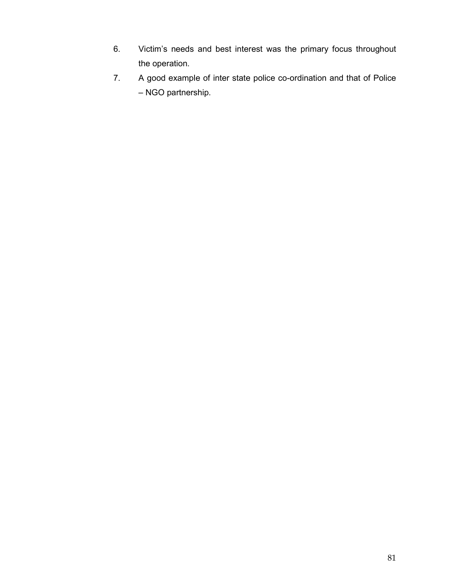- 6. Victim's needs and best interest was the primary focus throughout the operation.
- 7. A good example of inter state police co-ordination and that of Police – NGO partnership.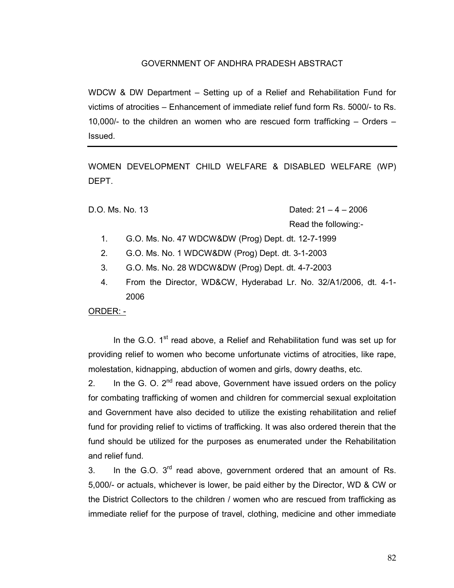#### GOVERNMENT OF ANDHRA PRADESH ABSTRACT

WDCW & DW Department – Setting up of a Relief and Rehabilitation Fund for victims of atrocities – Enhancement of immediate relief fund form Rs. 5000/- to Rs. 10,000/- to the children an women who are rescued form trafficking – Orders – Issued.

WOMEN DEVELOPMENT CHILD WELFARE & DISABLED WELFARE (WP) DEPT.

D.O. Ms. No. 13 Dated: 21 – 4 – 2006 Read the following:-

- 1. G.O. Ms. No. 47 WDCW&DW (Prog) Dept. dt. 12-7-1999
- 2. G.O. Ms. No. 1 WDCW&DW (Prog) Dept. dt. 3-1-2003
- 3. G.O. Ms. No. 28 WDCW&DW (Prog) Dept. dt. 4-7-2003
- 4. From the Director, WD&CW, Hyderabad Lr. No. 32/A1/2006, dt. 4-1- 2006

ORDER: -

In the G.O.  $1<sup>st</sup>$  read above, a Relief and Rehabilitation fund was set up for providing relief to women who become unfortunate victims of atrocities, like rape, molestation, kidnapping, abduction of women and girls, dowry deaths, etc.

2. In the G. O.  $2^{nd}$  read above, Government have issued orders on the policy for combating trafficking of women and children for commercial sexual exploitation and Government have also decided to utilize the existing rehabilitation and relief fund for providing relief to victims of trafficking. It was also ordered therein that the fund should be utilized for the purposes as enumerated under the Rehabilitation and relief fund.

3. In the G.O.  $3<sup>rd</sup>$  read above, government ordered that an amount of Rs. 5,000/- or actuals, whichever is lower, be paid either by the Director, WD & CW or the District Collectors to the children / women who are rescued from trafficking as immediate relief for the purpose of travel, clothing, medicine and other immediate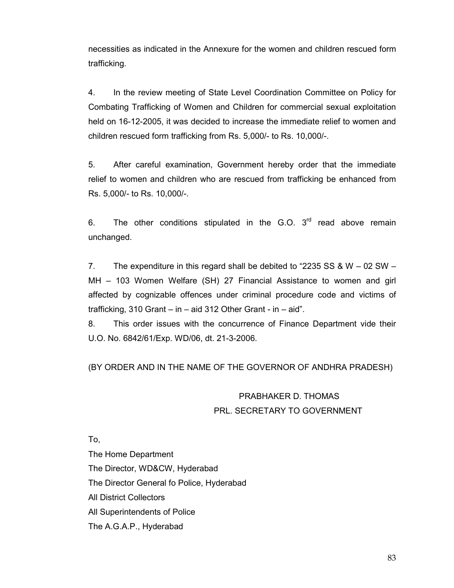necessities as indicated in the Annexure for the women and children rescued form trafficking.

4. In the review meeting of State Level Coordination Committee on Policy for Combating Trafficking of Women and Children for commercial sexual exploitation held on 16-12-2005, it was decided to increase the immediate relief to women and children rescued form trafficking from Rs. 5,000/- to Rs. 10,000/-.

5. After careful examination, Government hereby order that the immediate relief to women and children who are rescued from trafficking be enhanced from Rs. 5,000/- to Rs. 10,000/-.

6. The other conditions stipulated in the G.O.  $3<sup>rd</sup>$  read above remain unchanged.

7. The expenditure in this regard shall be debited to "2235 SS & W – 02 SW – MH – 103 Women Welfare (SH) 27 Financial Assistance to women and girl affected by cognizable offences under criminal procedure code and victims of trafficking, 310 Grant – in – aid 312 Other Grant - in – aid".

8. This order issues with the concurrence of Finance Department vide their U.O. No. 6842/61/Exp. WD/06, dt. 21-3-2006.

(BY ORDER AND IN THE NAME OF THE GOVERNOR OF ANDHRA PRADESH)

# PRABHAKER D. THOMAS PRL. SECRETARY TO GOVERNMENT

To,

The Home Department The Director, WD&CW, Hyderabad The Director General fo Police, Hyderabad All District Collectors All Superintendents of Police The A.G.A.P., Hyderabad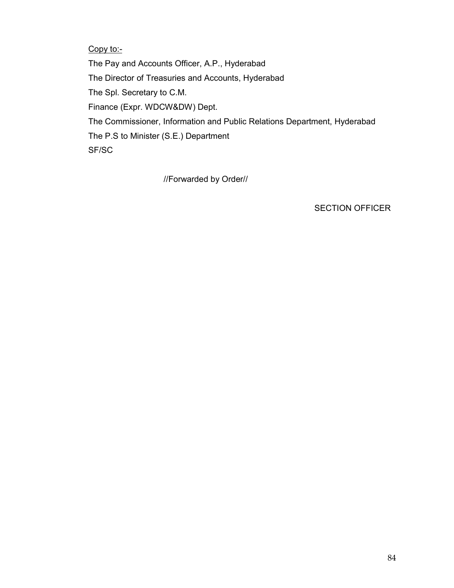## Copy to:-

The Pay and Accounts Officer, A.P., Hyderabad The Director of Treasuries and Accounts, Hyderabad The Spl. Secretary to C.M. Finance (Expr. WDCW&DW) Dept. The Commissioner, Information and Public Relations Department, Hyderabad The P.S to Minister (S.E.) Department SF/SC

//Forwarded by Order//

SECTION OFFICER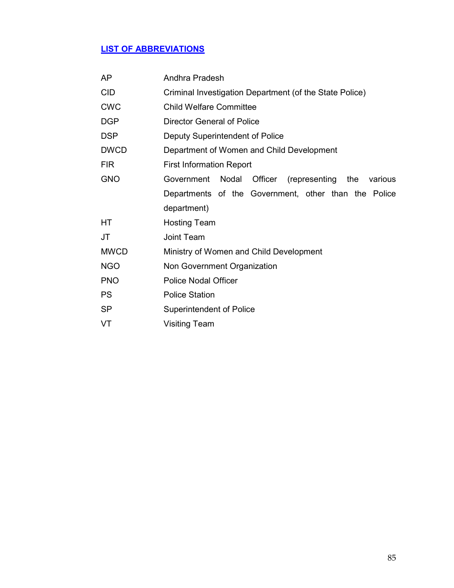# LIST OF ABBREVIATIONS

| AP          | Andhra Pradesh                                                 |  |
|-------------|----------------------------------------------------------------|--|
| <b>CID</b>  | Criminal Investigation Department (of the State Police)        |  |
| <b>CWC</b>  | <b>Child Welfare Committee</b>                                 |  |
| <b>DGP</b>  | <b>Director General of Police</b>                              |  |
| <b>DSP</b>  | Deputy Superintendent of Police                                |  |
| <b>DWCD</b> | Department of Women and Child Development                      |  |
| <b>FIR</b>  | <b>First Information Report</b>                                |  |
| <b>GNO</b>  | Government<br>Nodal<br>Officer (representing<br>the<br>various |  |
|             | Departments of the Government, other than the Police           |  |
|             | department)                                                    |  |
| HT.         | <b>Hosting Team</b>                                            |  |
| <b>JT</b>   | Joint Team                                                     |  |
| <b>MWCD</b> | Ministry of Women and Child Development                        |  |
| <b>NGO</b>  | Non Government Organization                                    |  |
| <b>PNO</b>  | <b>Police Nodal Officer</b>                                    |  |
| <b>PS</b>   | <b>Police Station</b>                                          |  |
| <b>SP</b>   | Superintendent of Police                                       |  |
| VT          | <b>Visiting Team</b>                                           |  |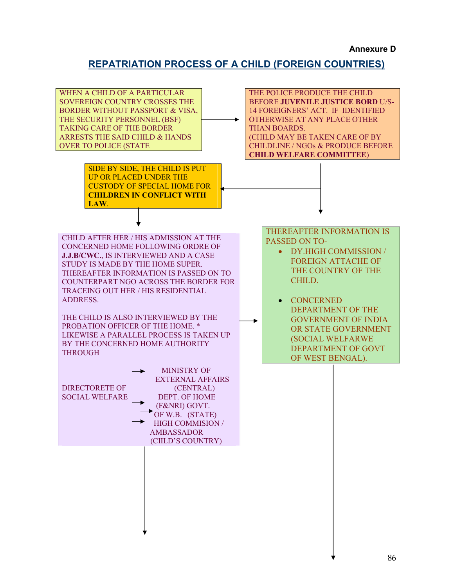#### Annexure D

## REPATRIATION PROCESS OF A CHILD (FOREIGN COUNTRIES)

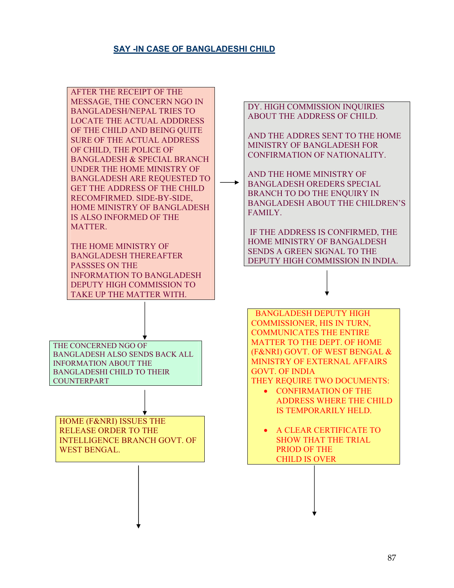### SAY -IN CASE OF BANGLADESHI CHILD